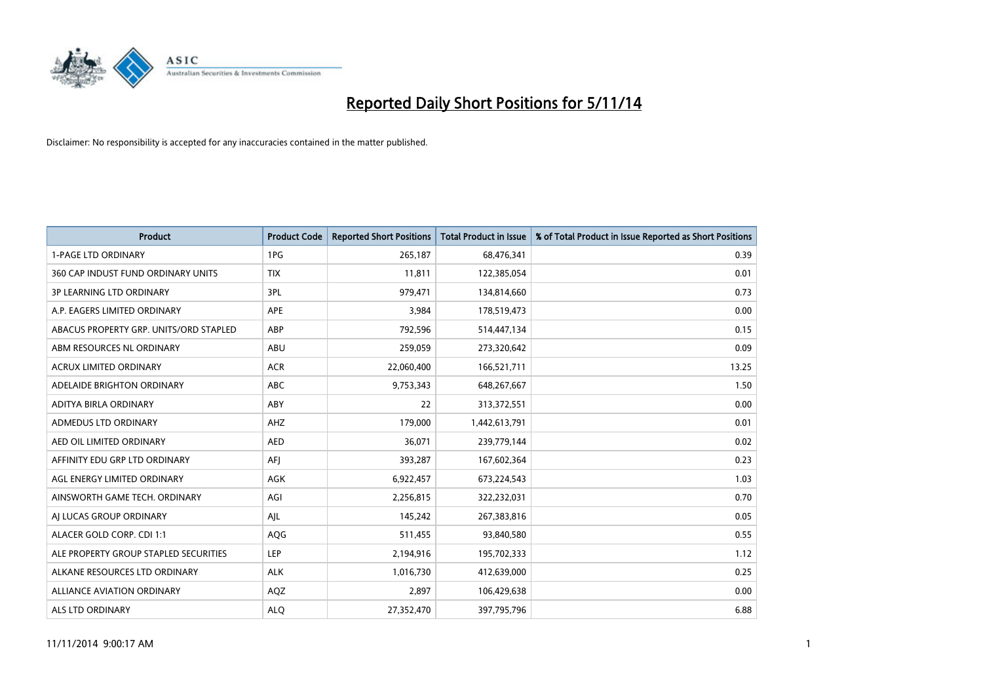

| <b>Product</b>                         | <b>Product Code</b> | <b>Reported Short Positions</b> | <b>Total Product in Issue</b> | % of Total Product in Issue Reported as Short Positions |
|----------------------------------------|---------------------|---------------------------------|-------------------------------|---------------------------------------------------------|
| <b>1-PAGE LTD ORDINARY</b>             | 1PG                 | 265,187                         | 68,476,341                    | 0.39                                                    |
| 360 CAP INDUST FUND ORDINARY UNITS     | <b>TIX</b>          | 11,811                          | 122,385,054                   | 0.01                                                    |
| <b>3P LEARNING LTD ORDINARY</b>        | 3PL                 | 979,471                         | 134,814,660                   | 0.73                                                    |
| A.P. EAGERS LIMITED ORDINARY           | <b>APE</b>          | 3,984                           | 178,519,473                   | 0.00                                                    |
| ABACUS PROPERTY GRP. UNITS/ORD STAPLED | ABP                 | 792,596                         | 514,447,134                   | 0.15                                                    |
| ABM RESOURCES NL ORDINARY              | ABU                 | 259,059                         | 273,320,642                   | 0.09                                                    |
| <b>ACRUX LIMITED ORDINARY</b>          | <b>ACR</b>          | 22,060,400                      | 166,521,711                   | 13.25                                                   |
| ADELAIDE BRIGHTON ORDINARY             | <b>ABC</b>          | 9,753,343                       | 648,267,667                   | 1.50                                                    |
| ADITYA BIRLA ORDINARY                  | ABY                 | 22                              | 313,372,551                   | 0.00                                                    |
| ADMEDUS LTD ORDINARY                   | AHZ                 | 179,000                         | 1,442,613,791                 | 0.01                                                    |
| AED OIL LIMITED ORDINARY               | <b>AED</b>          | 36,071                          | 239,779,144                   | 0.02                                                    |
| AFFINITY EDU GRP LTD ORDINARY          | AFJ                 | 393,287                         | 167,602,364                   | 0.23                                                    |
| AGL ENERGY LIMITED ORDINARY            | AGK                 | 6,922,457                       | 673,224,543                   | 1.03                                                    |
| AINSWORTH GAME TECH. ORDINARY          | AGI                 | 2,256,815                       | 322,232,031                   | 0.70                                                    |
| AI LUCAS GROUP ORDINARY                | AJL                 | 145,242                         | 267,383,816                   | 0.05                                                    |
| ALACER GOLD CORP. CDI 1:1              | AQG                 | 511,455                         | 93,840,580                    | 0.55                                                    |
| ALE PROPERTY GROUP STAPLED SECURITIES  | LEP                 | 2,194,916                       | 195,702,333                   | 1.12                                                    |
| ALKANE RESOURCES LTD ORDINARY          | <b>ALK</b>          | 1,016,730                       | 412,639,000                   | 0.25                                                    |
| ALLIANCE AVIATION ORDINARY             | AQZ                 | 2,897                           | 106,429,638                   | 0.00                                                    |
| ALS LTD ORDINARY                       | <b>ALO</b>          | 27,352,470                      | 397,795,796                   | 6.88                                                    |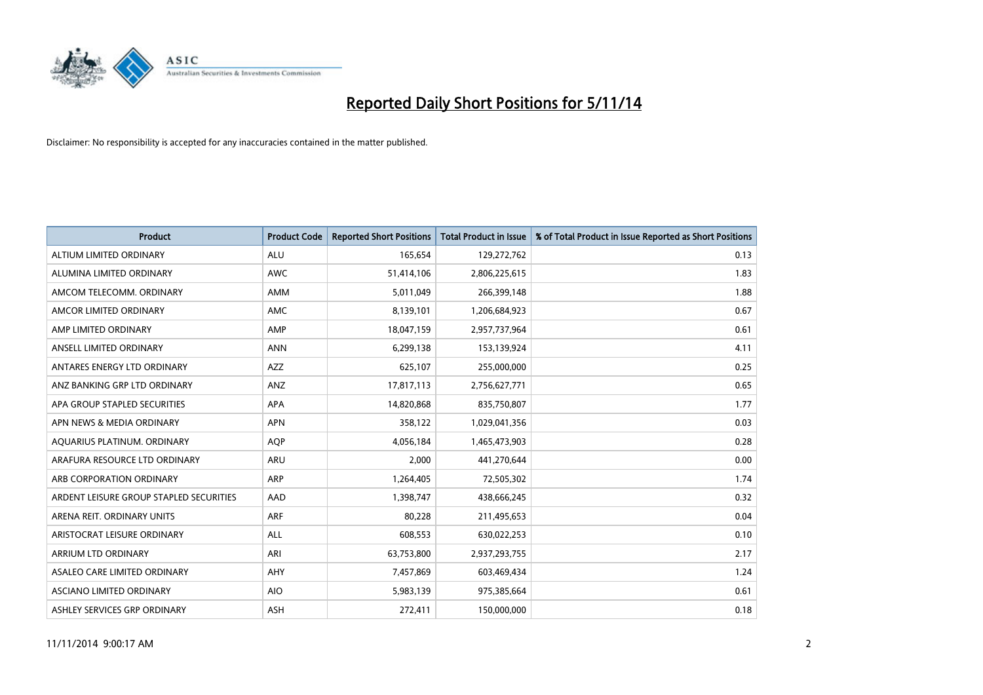

| <b>Product</b>                          | <b>Product Code</b> | <b>Reported Short Positions</b> | <b>Total Product in Issue</b> | % of Total Product in Issue Reported as Short Positions |
|-----------------------------------------|---------------------|---------------------------------|-------------------------------|---------------------------------------------------------|
| ALTIUM LIMITED ORDINARY                 | <b>ALU</b>          | 165,654                         | 129,272,762                   | 0.13                                                    |
| ALUMINA LIMITED ORDINARY                | AWC                 | 51,414,106                      | 2,806,225,615                 | 1.83                                                    |
| AMCOM TELECOMM, ORDINARY                | AMM                 | 5,011,049                       | 266,399,148                   | 1.88                                                    |
| AMCOR LIMITED ORDINARY                  | AMC                 | 8,139,101                       | 1,206,684,923                 | 0.67                                                    |
| AMP LIMITED ORDINARY                    | AMP                 | 18,047,159                      | 2,957,737,964                 | 0.61                                                    |
| ANSELL LIMITED ORDINARY                 | <b>ANN</b>          | 6,299,138                       | 153,139,924                   | 4.11                                                    |
| ANTARES ENERGY LTD ORDINARY             | <b>AZZ</b>          | 625,107                         | 255,000,000                   | 0.25                                                    |
| ANZ BANKING GRP LTD ORDINARY            | ANZ                 | 17,817,113                      | 2,756,627,771                 | 0.65                                                    |
| APA GROUP STAPLED SECURITIES            | APA                 | 14,820,868                      | 835,750,807                   | 1.77                                                    |
| APN NEWS & MEDIA ORDINARY               | <b>APN</b>          | 358,122                         | 1,029,041,356                 | 0.03                                                    |
| AQUARIUS PLATINUM. ORDINARY             | <b>AOP</b>          | 4,056,184                       | 1,465,473,903                 | 0.28                                                    |
| ARAFURA RESOURCE LTD ORDINARY           | <b>ARU</b>          | 2,000                           | 441,270,644                   | 0.00                                                    |
| ARB CORPORATION ORDINARY                | ARP                 | 1,264,405                       | 72,505,302                    | 1.74                                                    |
| ARDENT LEISURE GROUP STAPLED SECURITIES | AAD                 | 1,398,747                       | 438,666,245                   | 0.32                                                    |
| ARENA REIT. ORDINARY UNITS              | <b>ARF</b>          | 80,228                          | 211,495,653                   | 0.04                                                    |
| ARISTOCRAT LEISURE ORDINARY             | ALL                 | 608,553                         | 630,022,253                   | 0.10                                                    |
| ARRIUM LTD ORDINARY                     | ARI                 | 63,753,800                      | 2,937,293,755                 | 2.17                                                    |
| ASALEO CARE LIMITED ORDINARY            | <b>AHY</b>          | 7,457,869                       | 603,469,434                   | 1.24                                                    |
| ASCIANO LIMITED ORDINARY                | <b>AIO</b>          | 5,983,139                       | 975,385,664                   | 0.61                                                    |
| ASHLEY SERVICES GRP ORDINARY            | ASH                 | 272,411                         | 150,000,000                   | 0.18                                                    |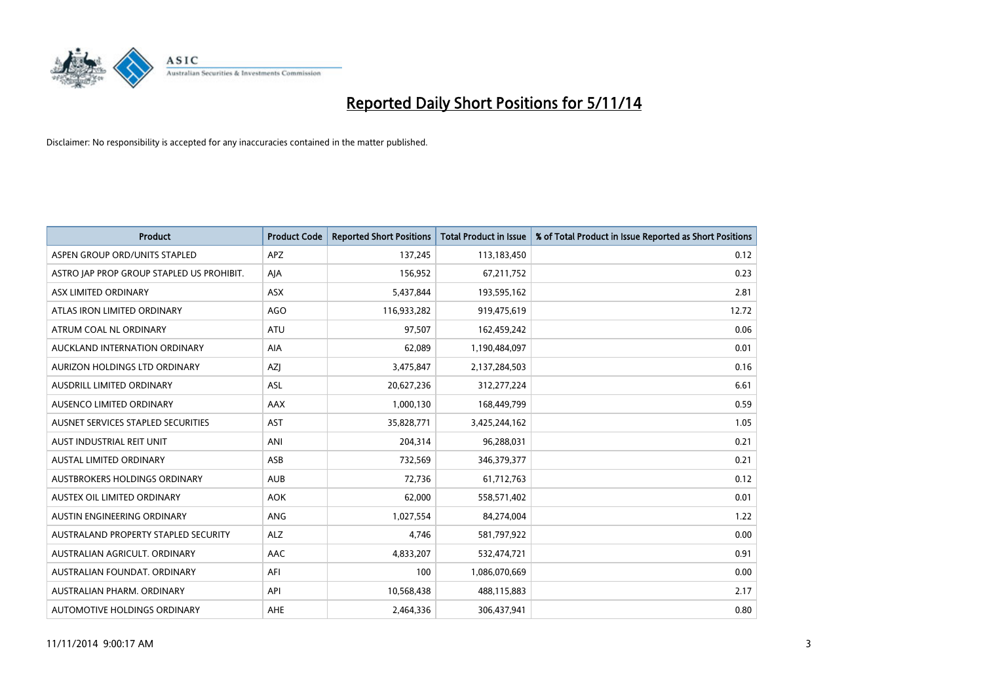

| <b>Product</b>                            | <b>Product Code</b> | <b>Reported Short Positions</b> | <b>Total Product in Issue</b> | % of Total Product in Issue Reported as Short Positions |
|-------------------------------------------|---------------------|---------------------------------|-------------------------------|---------------------------------------------------------|
| ASPEN GROUP ORD/UNITS STAPLED             | <b>APZ</b>          | 137,245                         | 113,183,450                   | 0.12                                                    |
| ASTRO JAP PROP GROUP STAPLED US PROHIBIT. | AJA                 | 156,952                         | 67,211,752                    | 0.23                                                    |
| ASX LIMITED ORDINARY                      | <b>ASX</b>          | 5,437,844                       | 193,595,162                   | 2.81                                                    |
| ATLAS IRON LIMITED ORDINARY               | AGO                 | 116,933,282                     | 919,475,619                   | 12.72                                                   |
| ATRUM COAL NL ORDINARY                    | ATU                 | 97,507                          | 162,459,242                   | 0.06                                                    |
| AUCKLAND INTERNATION ORDINARY             | <b>AIA</b>          | 62,089                          | 1,190,484,097                 | 0.01                                                    |
| AURIZON HOLDINGS LTD ORDINARY             | AZJ                 | 3,475,847                       | 2,137,284,503                 | 0.16                                                    |
| AUSDRILL LIMITED ORDINARY                 | ASL                 | 20,627,236                      | 312,277,224                   | 6.61                                                    |
| AUSENCO LIMITED ORDINARY                  | AAX                 | 1,000,130                       | 168,449,799                   | 0.59                                                    |
| AUSNET SERVICES STAPLED SECURITIES        | <b>AST</b>          | 35,828,771                      | 3,425,244,162                 | 1.05                                                    |
| AUST INDUSTRIAL REIT UNIT                 | ANI                 | 204,314                         | 96,288,031                    | 0.21                                                    |
| <b>AUSTAL LIMITED ORDINARY</b>            | ASB                 | 732,569                         | 346,379,377                   | 0.21                                                    |
| AUSTBROKERS HOLDINGS ORDINARY             | <b>AUB</b>          | 72,736                          | 61,712,763                    | 0.12                                                    |
| AUSTEX OIL LIMITED ORDINARY               | <b>AOK</b>          | 62,000                          | 558,571,402                   | 0.01                                                    |
| AUSTIN ENGINEERING ORDINARY               | ANG                 | 1,027,554                       | 84,274,004                    | 1.22                                                    |
| AUSTRALAND PROPERTY STAPLED SECURITY      | <b>ALZ</b>          | 4,746                           | 581,797,922                   | 0.00                                                    |
| AUSTRALIAN AGRICULT. ORDINARY             | AAC                 | 4,833,207                       | 532,474,721                   | 0.91                                                    |
| AUSTRALIAN FOUNDAT, ORDINARY              | AFI                 | 100                             | 1,086,070,669                 | 0.00                                                    |
| AUSTRALIAN PHARM, ORDINARY                | API                 | 10,568,438                      | 488,115,883                   | 2.17                                                    |
| AUTOMOTIVE HOLDINGS ORDINARY              | AHE                 | 2,464,336                       | 306,437,941                   | 0.80                                                    |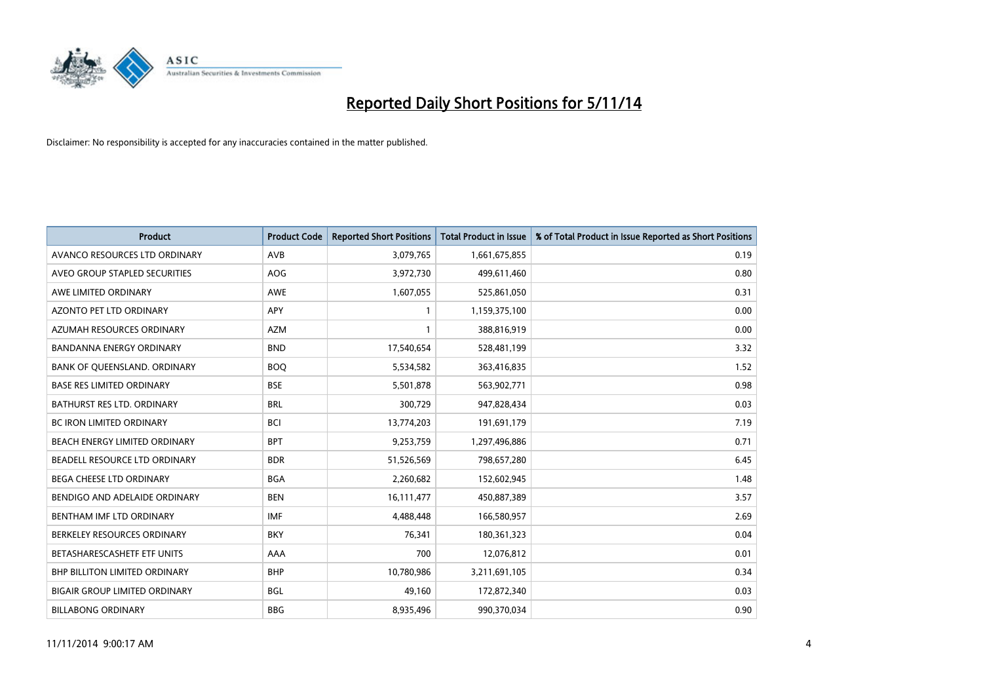

| <b>Product</b>                       | <b>Product Code</b> | <b>Reported Short Positions</b> | <b>Total Product in Issue</b> | % of Total Product in Issue Reported as Short Positions |
|--------------------------------------|---------------------|---------------------------------|-------------------------------|---------------------------------------------------------|
| AVANCO RESOURCES LTD ORDINARY        | AVB                 | 3,079,765                       | 1,661,675,855                 | 0.19                                                    |
| AVEO GROUP STAPLED SECURITIES        | <b>AOG</b>          | 3,972,730                       | 499,611,460                   | 0.80                                                    |
| AWE LIMITED ORDINARY                 | <b>AWE</b>          | 1,607,055                       | 525,861,050                   | 0.31                                                    |
| AZONTO PET LTD ORDINARY              | APY                 | 1                               | 1,159,375,100                 | 0.00                                                    |
| AZUMAH RESOURCES ORDINARY            | <b>AZM</b>          | $\mathbf{1}$                    | 388,816,919                   | 0.00                                                    |
| <b>BANDANNA ENERGY ORDINARY</b>      | <b>BND</b>          | 17,540,654                      | 528,481,199                   | 3.32                                                    |
| BANK OF QUEENSLAND. ORDINARY         | <b>BOO</b>          | 5,534,582                       | 363,416,835                   | 1.52                                                    |
| <b>BASE RES LIMITED ORDINARY</b>     | <b>BSE</b>          | 5,501,878                       | 563,902,771                   | 0.98                                                    |
| BATHURST RES LTD. ORDINARY           | <b>BRL</b>          | 300,729                         | 947,828,434                   | 0.03                                                    |
| <b>BC IRON LIMITED ORDINARY</b>      | <b>BCI</b>          | 13,774,203                      | 191,691,179                   | 7.19                                                    |
| BEACH ENERGY LIMITED ORDINARY        | <b>BPT</b>          | 9,253,759                       | 1,297,496,886                 | 0.71                                                    |
| BEADELL RESOURCE LTD ORDINARY        | <b>BDR</b>          | 51,526,569                      | 798,657,280                   | 6.45                                                    |
| <b>BEGA CHEESE LTD ORDINARY</b>      | <b>BGA</b>          | 2,260,682                       | 152,602,945                   | 1.48                                                    |
| BENDIGO AND ADELAIDE ORDINARY        | <b>BEN</b>          | 16,111,477                      | 450,887,389                   | 3.57                                                    |
| BENTHAM IMF LTD ORDINARY             | <b>IMF</b>          | 4,488,448                       | 166,580,957                   | 2.69                                                    |
| BERKELEY RESOURCES ORDINARY          | <b>BKY</b>          | 76,341                          | 180,361,323                   | 0.04                                                    |
| BETASHARESCASHETF ETF UNITS          | AAA                 | 700                             | 12,076,812                    | 0.01                                                    |
| <b>BHP BILLITON LIMITED ORDINARY</b> | <b>BHP</b>          | 10,780,986                      | 3,211,691,105                 | 0.34                                                    |
| <b>BIGAIR GROUP LIMITED ORDINARY</b> | <b>BGL</b>          | 49,160                          | 172,872,340                   | 0.03                                                    |
| <b>BILLABONG ORDINARY</b>            | <b>BBG</b>          | 8,935,496                       | 990,370,034                   | 0.90                                                    |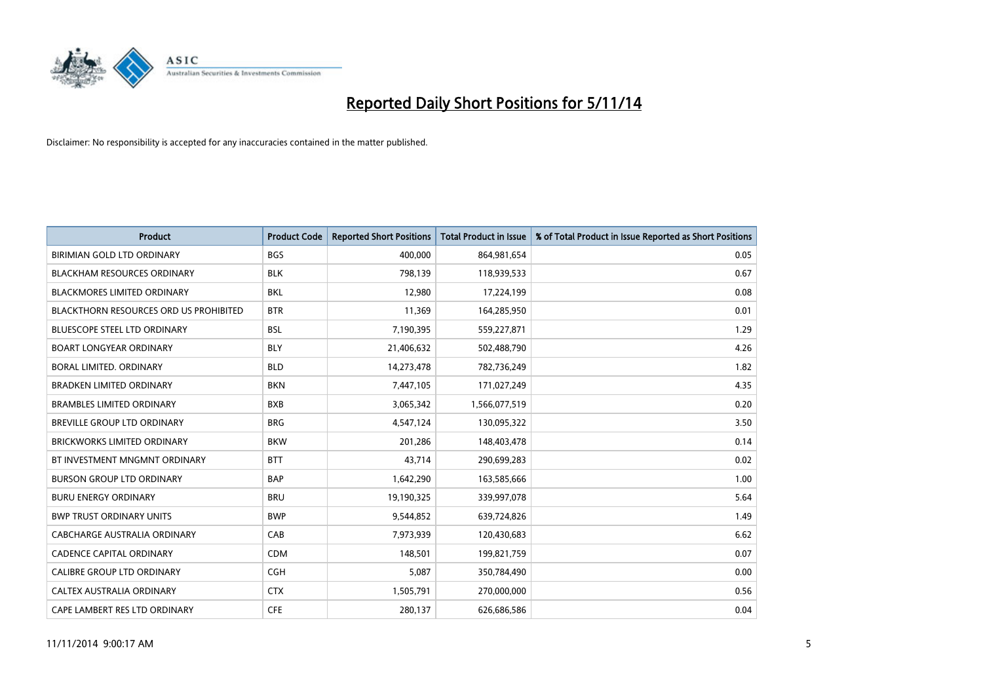

| <b>Product</b>                         | <b>Product Code</b> | <b>Reported Short Positions</b> | <b>Total Product in Issue</b> | % of Total Product in Issue Reported as Short Positions |
|----------------------------------------|---------------------|---------------------------------|-------------------------------|---------------------------------------------------------|
| BIRIMIAN GOLD LTD ORDINARY             | <b>BGS</b>          | 400,000                         | 864,981,654                   | 0.05                                                    |
| <b>BLACKHAM RESOURCES ORDINARY</b>     | <b>BLK</b>          | 798,139                         | 118,939,533                   | 0.67                                                    |
| <b>BLACKMORES LIMITED ORDINARY</b>     | <b>BKL</b>          | 12,980                          | 17,224,199                    | 0.08                                                    |
| BLACKTHORN RESOURCES ORD US PROHIBITED | <b>BTR</b>          | 11,369                          | 164,285,950                   | 0.01                                                    |
| <b>BLUESCOPE STEEL LTD ORDINARY</b>    | <b>BSL</b>          | 7,190,395                       | 559,227,871                   | 1.29                                                    |
| <b>BOART LONGYEAR ORDINARY</b>         | <b>BLY</b>          | 21,406,632                      | 502,488,790                   | 4.26                                                    |
| BORAL LIMITED, ORDINARY                | <b>BLD</b>          | 14,273,478                      | 782,736,249                   | 1.82                                                    |
| <b>BRADKEN LIMITED ORDINARY</b>        | <b>BKN</b>          | 7,447,105                       | 171,027,249                   | 4.35                                                    |
| <b>BRAMBLES LIMITED ORDINARY</b>       | <b>BXB</b>          | 3,065,342                       | 1,566,077,519                 | 0.20                                                    |
| <b>BREVILLE GROUP LTD ORDINARY</b>     | <b>BRG</b>          | 4,547,124                       | 130,095,322                   | 3.50                                                    |
| <b>BRICKWORKS LIMITED ORDINARY</b>     | <b>BKW</b>          | 201,286                         | 148,403,478                   | 0.14                                                    |
| BT INVESTMENT MNGMNT ORDINARY          | <b>BTT</b>          | 43,714                          | 290,699,283                   | 0.02                                                    |
| <b>BURSON GROUP LTD ORDINARY</b>       | <b>BAP</b>          | 1,642,290                       | 163,585,666                   | 1.00                                                    |
| <b>BURU ENERGY ORDINARY</b>            | <b>BRU</b>          | 19,190,325                      | 339,997,078                   | 5.64                                                    |
| <b>BWP TRUST ORDINARY UNITS</b>        | <b>BWP</b>          | 9,544,852                       | 639,724,826                   | 1.49                                                    |
| CABCHARGE AUSTRALIA ORDINARY           | CAB                 | 7,973,939                       | 120,430,683                   | 6.62                                                    |
| <b>CADENCE CAPITAL ORDINARY</b>        | <b>CDM</b>          | 148,501                         | 199,821,759                   | 0.07                                                    |
| <b>CALIBRE GROUP LTD ORDINARY</b>      | <b>CGH</b>          | 5,087                           | 350,784,490                   | 0.00                                                    |
| CALTEX AUSTRALIA ORDINARY              | <b>CTX</b>          | 1,505,791                       | 270,000,000                   | 0.56                                                    |
| CAPE LAMBERT RES LTD ORDINARY          | <b>CFE</b>          | 280,137                         | 626,686,586                   | 0.04                                                    |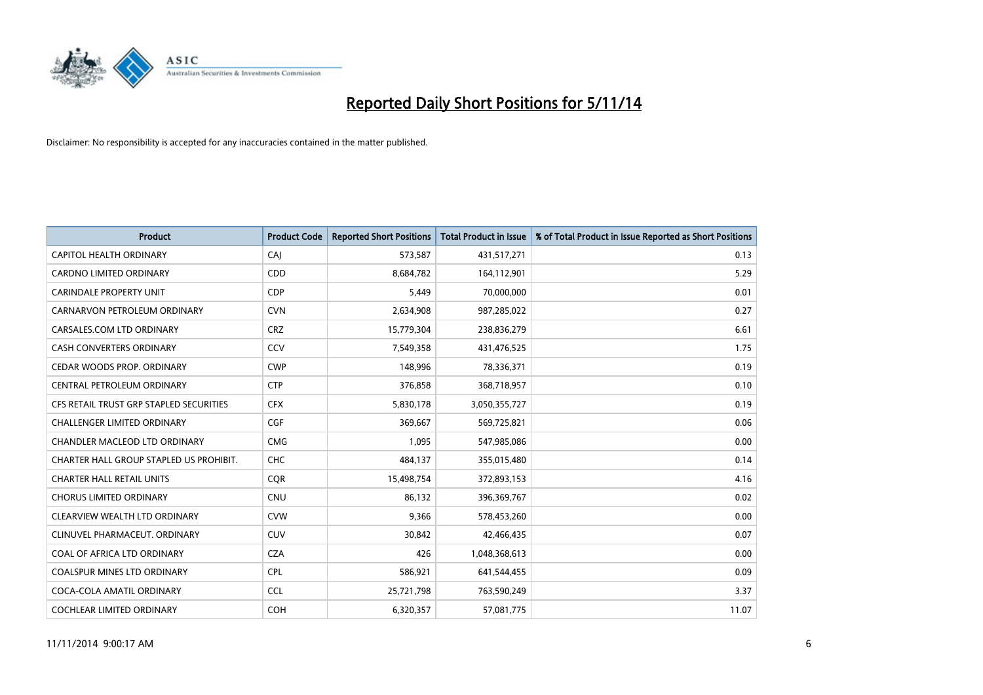

| <b>Product</b>                          | <b>Product Code</b> | <b>Reported Short Positions</b> | <b>Total Product in Issue</b> | % of Total Product in Issue Reported as Short Positions |
|-----------------------------------------|---------------------|---------------------------------|-------------------------------|---------------------------------------------------------|
| CAPITOL HEALTH ORDINARY                 | CAJ                 | 573,587                         | 431,517,271                   | 0.13                                                    |
| <b>CARDNO LIMITED ORDINARY</b>          | CDD                 | 8,684,782                       | 164,112,901                   | 5.29                                                    |
| <b>CARINDALE PROPERTY UNIT</b>          | <b>CDP</b>          | 5,449                           | 70,000,000                    | 0.01                                                    |
| CARNARVON PETROLEUM ORDINARY            | <b>CVN</b>          | 2,634,908                       | 987,285,022                   | 0.27                                                    |
| CARSALES.COM LTD ORDINARY               | <b>CRZ</b>          | 15,779,304                      | 238,836,279                   | 6.61                                                    |
| <b>CASH CONVERTERS ORDINARY</b>         | CCV                 | 7,549,358                       | 431,476,525                   | 1.75                                                    |
| CEDAR WOODS PROP. ORDINARY              | <b>CWP</b>          | 148,996                         | 78,336,371                    | 0.19                                                    |
| CENTRAL PETROLEUM ORDINARY              | <b>CTP</b>          | 376,858                         | 368,718,957                   | 0.10                                                    |
| CFS RETAIL TRUST GRP STAPLED SECURITIES | <b>CFX</b>          | 5,830,178                       | 3,050,355,727                 | 0.19                                                    |
| <b>CHALLENGER LIMITED ORDINARY</b>      | <b>CGF</b>          | 369,667                         | 569,725,821                   | 0.06                                                    |
| CHANDLER MACLEOD LTD ORDINARY           | <b>CMG</b>          | 1,095                           | 547,985,086                   | 0.00                                                    |
| CHARTER HALL GROUP STAPLED US PROHIBIT. | <b>CHC</b>          | 484,137                         | 355,015,480                   | 0.14                                                    |
| <b>CHARTER HALL RETAIL UNITS</b>        | <b>CQR</b>          | 15,498,754                      | 372,893,153                   | 4.16                                                    |
| <b>CHORUS LIMITED ORDINARY</b>          | <b>CNU</b>          | 86.132                          | 396,369,767                   | 0.02                                                    |
| CLEARVIEW WEALTH LTD ORDINARY           | <b>CVW</b>          | 9,366                           | 578,453,260                   | 0.00                                                    |
| CLINUVEL PHARMACEUT, ORDINARY           | <b>CUV</b>          | 30,842                          | 42,466,435                    | 0.07                                                    |
| COAL OF AFRICA LTD ORDINARY             | <b>CZA</b>          | 426                             | 1,048,368,613                 | 0.00                                                    |
| COALSPUR MINES LTD ORDINARY             | <b>CPL</b>          | 586,921                         | 641,544,455                   | 0.09                                                    |
| COCA-COLA AMATIL ORDINARY               | <b>CCL</b>          | 25,721,798                      | 763,590,249                   | 3.37                                                    |
| <b>COCHLEAR LIMITED ORDINARY</b>        | <b>COH</b>          | 6,320,357                       | 57,081,775                    | 11.07                                                   |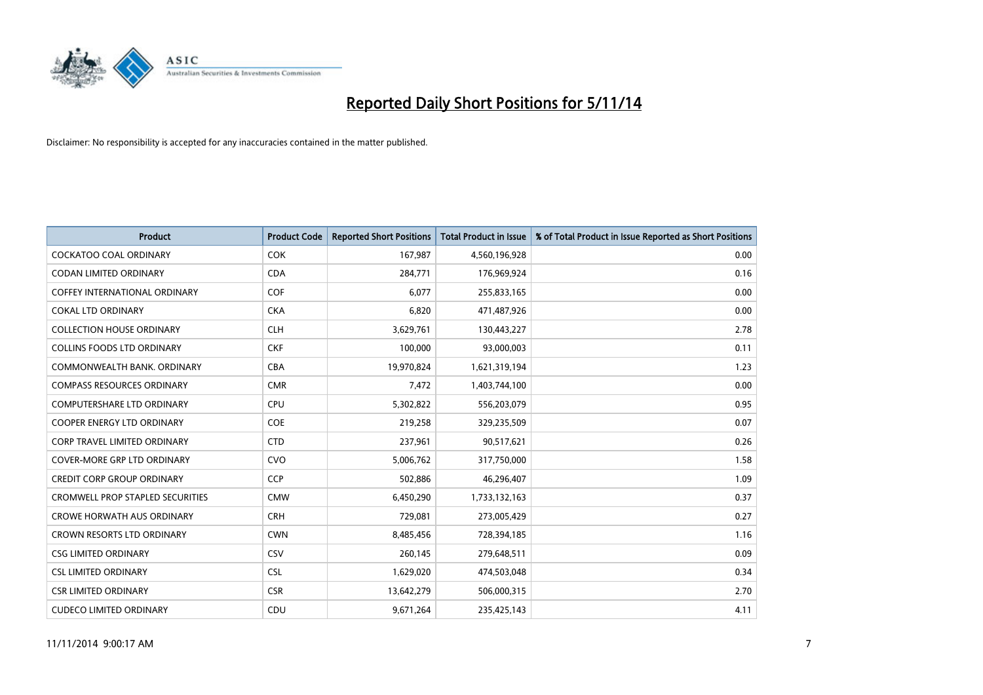

| <b>Product</b>                          | <b>Product Code</b> | <b>Reported Short Positions</b> | <b>Total Product in Issue</b> | % of Total Product in Issue Reported as Short Positions |
|-----------------------------------------|---------------------|---------------------------------|-------------------------------|---------------------------------------------------------|
| <b>COCKATOO COAL ORDINARY</b>           | <b>COK</b>          | 167,987                         | 4,560,196,928                 | 0.00                                                    |
| <b>CODAN LIMITED ORDINARY</b>           | <b>CDA</b>          | 284,771                         | 176,969,924                   | 0.16                                                    |
| <b>COFFEY INTERNATIONAL ORDINARY</b>    | <b>COF</b>          | 6,077                           | 255,833,165                   | 0.00                                                    |
| <b>COKAL LTD ORDINARY</b>               | <b>CKA</b>          | 6,820                           | 471,487,926                   | 0.00                                                    |
| <b>COLLECTION HOUSE ORDINARY</b>        | <b>CLH</b>          | 3,629,761                       | 130,443,227                   | 2.78                                                    |
| <b>COLLINS FOODS LTD ORDINARY</b>       | <b>CKF</b>          | 100,000                         | 93,000,003                    | 0.11                                                    |
| COMMONWEALTH BANK, ORDINARY             | <b>CBA</b>          | 19,970,824                      | 1,621,319,194                 | 1.23                                                    |
| <b>COMPASS RESOURCES ORDINARY</b>       | <b>CMR</b>          | 7,472                           | 1,403,744,100                 | 0.00                                                    |
| COMPUTERSHARE LTD ORDINARY              | <b>CPU</b>          | 5,302,822                       | 556,203,079                   | 0.95                                                    |
| <b>COOPER ENERGY LTD ORDINARY</b>       | <b>COE</b>          | 219,258                         | 329,235,509                   | 0.07                                                    |
| CORP TRAVEL LIMITED ORDINARY            | <b>CTD</b>          | 237,961                         | 90,517,621                    | 0.26                                                    |
| <b>COVER-MORE GRP LTD ORDINARY</b>      | <b>CVO</b>          | 5,006,762                       | 317,750,000                   | 1.58                                                    |
| <b>CREDIT CORP GROUP ORDINARY</b>       | <b>CCP</b>          | 502,886                         | 46,296,407                    | 1.09                                                    |
| <b>CROMWELL PROP STAPLED SECURITIES</b> | <b>CMW</b>          | 6,450,290                       | 1,733,132,163                 | 0.37                                                    |
| CROWE HORWATH AUS ORDINARY              | <b>CRH</b>          | 729,081                         | 273,005,429                   | 0.27                                                    |
| <b>CROWN RESORTS LTD ORDINARY</b>       | <b>CWN</b>          | 8,485,456                       | 728,394,185                   | 1.16                                                    |
| <b>CSG LIMITED ORDINARY</b>             | CSV                 | 260,145                         | 279,648,511                   | 0.09                                                    |
| <b>CSL LIMITED ORDINARY</b>             | <b>CSL</b>          | 1,629,020                       | 474,503,048                   | 0.34                                                    |
| <b>CSR LIMITED ORDINARY</b>             | <b>CSR</b>          | 13,642,279                      | 506,000,315                   | 2.70                                                    |
| <b>CUDECO LIMITED ORDINARY</b>          | CDU                 | 9,671,264                       | 235,425,143                   | 4.11                                                    |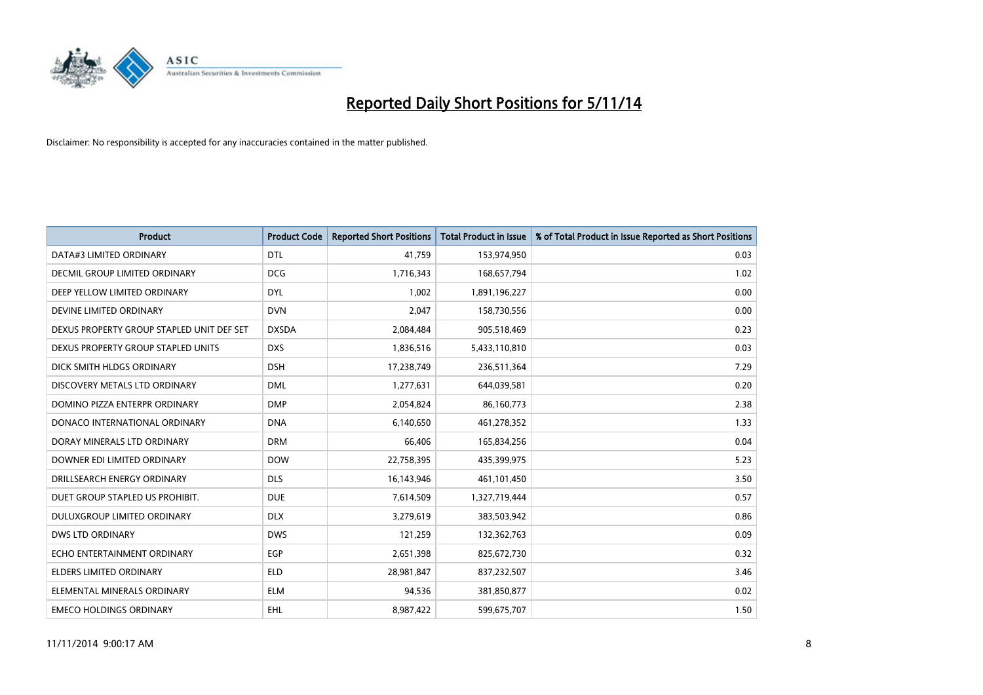

| <b>Product</b>                            | <b>Product Code</b> | <b>Reported Short Positions</b> | <b>Total Product in Issue</b> | % of Total Product in Issue Reported as Short Positions |
|-------------------------------------------|---------------------|---------------------------------|-------------------------------|---------------------------------------------------------|
| DATA#3 LIMITED ORDINARY                   | <b>DTL</b>          | 41,759                          | 153,974,950                   | 0.03                                                    |
| DECMIL GROUP LIMITED ORDINARY             | <b>DCG</b>          | 1,716,343                       | 168,657,794                   | 1.02                                                    |
| DEEP YELLOW LIMITED ORDINARY              | <b>DYL</b>          | 1,002                           | 1,891,196,227                 | 0.00                                                    |
| DEVINE LIMITED ORDINARY                   | <b>DVN</b>          | 2,047                           | 158,730,556                   | 0.00                                                    |
| DEXUS PROPERTY GROUP STAPLED UNIT DEF SET | <b>DXSDA</b>        | 2,084,484                       | 905,518,469                   | 0.23                                                    |
| DEXUS PROPERTY GROUP STAPLED UNITS        | <b>DXS</b>          | 1,836,516                       | 5,433,110,810                 | 0.03                                                    |
| DICK SMITH HLDGS ORDINARY                 | <b>DSH</b>          | 17,238,749                      | 236,511,364                   | 7.29                                                    |
| DISCOVERY METALS LTD ORDINARY             | <b>DML</b>          | 1,277,631                       | 644,039,581                   | 0.20                                                    |
| DOMINO PIZZA ENTERPR ORDINARY             | <b>DMP</b>          | 2,054,824                       | 86,160,773                    | 2.38                                                    |
| DONACO INTERNATIONAL ORDINARY             | <b>DNA</b>          | 6,140,650                       | 461,278,352                   | 1.33                                                    |
| DORAY MINERALS LTD ORDINARY               | <b>DRM</b>          | 66,406                          | 165,834,256                   | 0.04                                                    |
| DOWNER EDI LIMITED ORDINARY               | <b>DOW</b>          | 22,758,395                      | 435,399,975                   | 5.23                                                    |
| DRILLSEARCH ENERGY ORDINARY               | <b>DLS</b>          | 16,143,946                      | 461,101,450                   | 3.50                                                    |
| DUET GROUP STAPLED US PROHIBIT.           | <b>DUE</b>          | 7,614,509                       | 1,327,719,444                 | 0.57                                                    |
| DULUXGROUP LIMITED ORDINARY               | <b>DLX</b>          | 3,279,619                       | 383,503,942                   | 0.86                                                    |
| DWS LTD ORDINARY                          | <b>DWS</b>          | 121,259                         | 132,362,763                   | 0.09                                                    |
| ECHO ENTERTAINMENT ORDINARY               | EGP                 | 2,651,398                       | 825,672,730                   | 0.32                                                    |
| <b>ELDERS LIMITED ORDINARY</b>            | <b>ELD</b>          | 28,981,847                      | 837,232,507                   | 3.46                                                    |
| ELEMENTAL MINERALS ORDINARY               | <b>ELM</b>          | 94,536                          | 381,850,877                   | 0.02                                                    |
| <b>EMECO HOLDINGS ORDINARY</b>            | EHL                 | 8,987,422                       | 599,675,707                   | 1.50                                                    |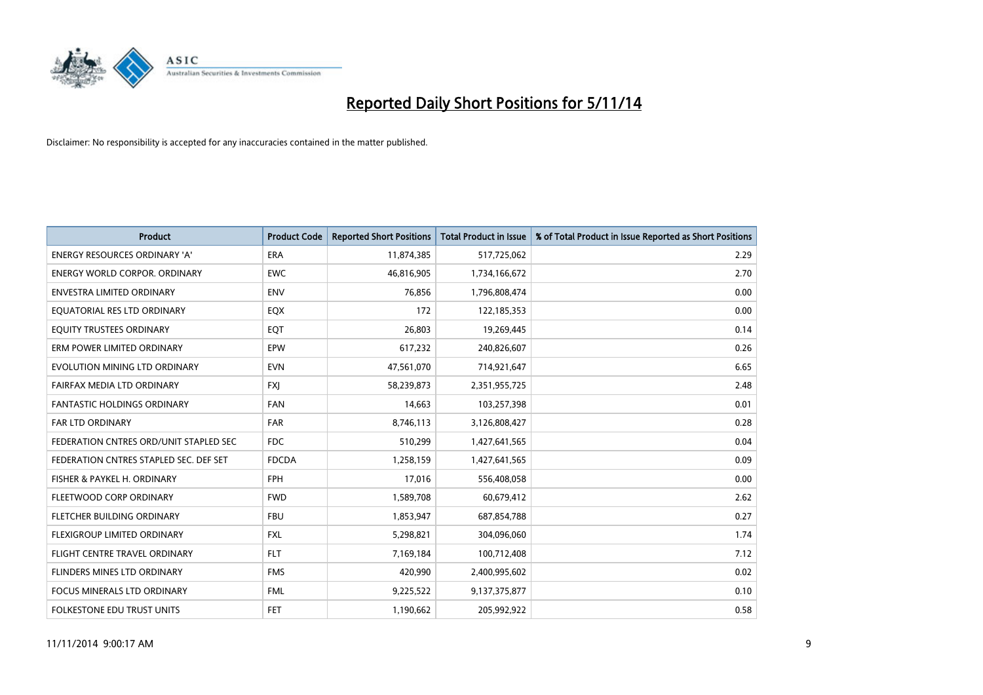

| <b>Product</b>                         | <b>Product Code</b> | <b>Reported Short Positions</b> | <b>Total Product in Issue</b> | % of Total Product in Issue Reported as Short Positions |
|----------------------------------------|---------------------|---------------------------------|-------------------------------|---------------------------------------------------------|
| <b>ENERGY RESOURCES ORDINARY 'A'</b>   | <b>ERA</b>          | 11,874,385                      | 517,725,062                   | 2.29                                                    |
| <b>ENERGY WORLD CORPOR. ORDINARY</b>   | <b>EWC</b>          | 46,816,905                      | 1,734,166,672                 | 2.70                                                    |
| <b>ENVESTRA LIMITED ORDINARY</b>       | <b>ENV</b>          | 76,856                          | 1,796,808,474                 | 0.00                                                    |
| EQUATORIAL RES LTD ORDINARY            | EQX                 | 172                             | 122,185,353                   | 0.00                                                    |
| EQUITY TRUSTEES ORDINARY               | EQT                 | 26,803                          | 19,269,445                    | 0.14                                                    |
| ERM POWER LIMITED ORDINARY             | EPW                 | 617,232                         | 240,826,607                   | 0.26                                                    |
| EVOLUTION MINING LTD ORDINARY          | <b>EVN</b>          | 47,561,070                      | 714,921,647                   | 6.65                                                    |
| FAIRFAX MEDIA LTD ORDINARY             | <b>FXI</b>          | 58,239,873                      | 2,351,955,725                 | 2.48                                                    |
| <b>FANTASTIC HOLDINGS ORDINARY</b>     | <b>FAN</b>          | 14,663                          | 103,257,398                   | 0.01                                                    |
| <b>FAR LTD ORDINARY</b>                | <b>FAR</b>          | 8,746,113                       | 3,126,808,427                 | 0.28                                                    |
| FEDERATION CNTRES ORD/UNIT STAPLED SEC | <b>FDC</b>          | 510,299                         | 1,427,641,565                 | 0.04                                                    |
| FEDERATION CNTRES STAPLED SEC. DEF SET | <b>FDCDA</b>        | 1,258,159                       | 1,427,641,565                 | 0.09                                                    |
| FISHER & PAYKEL H. ORDINARY            | <b>FPH</b>          | 17,016                          | 556,408,058                   | 0.00                                                    |
| FLEETWOOD CORP ORDINARY                | <b>FWD</b>          | 1,589,708                       | 60,679,412                    | 2.62                                                    |
| FLETCHER BUILDING ORDINARY             | <b>FBU</b>          | 1,853,947                       | 687,854,788                   | 0.27                                                    |
| FLEXIGROUP LIMITED ORDINARY            | <b>FXL</b>          | 5,298,821                       | 304,096,060                   | 1.74                                                    |
| FLIGHT CENTRE TRAVEL ORDINARY          | <b>FLT</b>          | 7,169,184                       | 100,712,408                   | 7.12                                                    |
| FLINDERS MINES LTD ORDINARY            | <b>FMS</b>          | 420,990                         | 2,400,995,602                 | 0.02                                                    |
| <b>FOCUS MINERALS LTD ORDINARY</b>     | <b>FML</b>          | 9,225,522                       | 9,137,375,877                 | 0.10                                                    |
| FOLKESTONE EDU TRUST UNITS             | <b>FET</b>          | 1,190,662                       | 205,992,922                   | 0.58                                                    |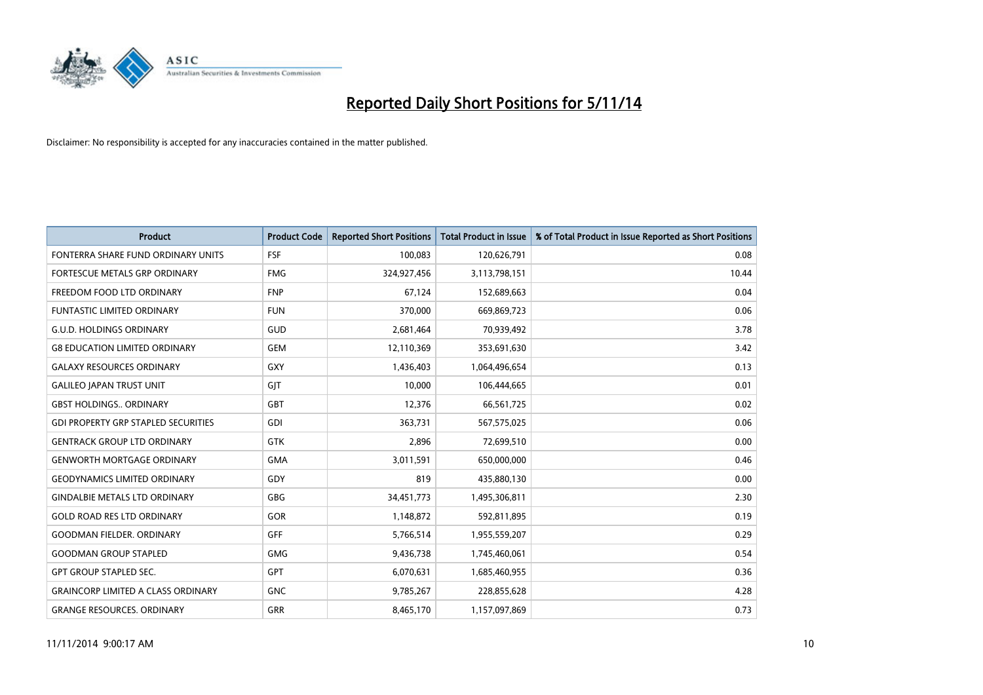

| <b>Product</b>                             | <b>Product Code</b> | <b>Reported Short Positions</b> | <b>Total Product in Issue</b> | % of Total Product in Issue Reported as Short Positions |
|--------------------------------------------|---------------------|---------------------------------|-------------------------------|---------------------------------------------------------|
| FONTERRA SHARE FUND ORDINARY UNITS         | <b>FSF</b>          | 100,083                         | 120,626,791                   | 0.08                                                    |
| FORTESCUE METALS GRP ORDINARY              | <b>FMG</b>          | 324,927,456                     | 3,113,798,151                 | 10.44                                                   |
| FREEDOM FOOD LTD ORDINARY                  | <b>FNP</b>          | 67.124                          | 152,689,663                   | 0.04                                                    |
| <b>FUNTASTIC LIMITED ORDINARY</b>          | <b>FUN</b>          | 370,000                         | 669,869,723                   | 0.06                                                    |
| <b>G.U.D. HOLDINGS ORDINARY</b>            | GUD                 | 2,681,464                       | 70,939,492                    | 3.78                                                    |
| <b>G8 EDUCATION LIMITED ORDINARY</b>       | <b>GEM</b>          | 12,110,369                      | 353,691,630                   | 3.42                                                    |
| <b>GALAXY RESOURCES ORDINARY</b>           | <b>GXY</b>          | 1,436,403                       | 1,064,496,654                 | 0.13                                                    |
| <b>GALILEO JAPAN TRUST UNIT</b>            | GIT                 | 10,000                          | 106,444,665                   | 0.01                                                    |
| <b>GBST HOLDINGS., ORDINARY</b>            | <b>GBT</b>          | 12,376                          | 66,561,725                    | 0.02                                                    |
| <b>GDI PROPERTY GRP STAPLED SECURITIES</b> | GDI                 | 363,731                         | 567,575,025                   | 0.06                                                    |
| <b>GENTRACK GROUP LTD ORDINARY</b>         | GTK                 | 2,896                           | 72,699,510                    | 0.00                                                    |
| <b>GENWORTH MORTGAGE ORDINARY</b>          | <b>GMA</b>          | 3,011,591                       | 650,000,000                   | 0.46                                                    |
| <b>GEODYNAMICS LIMITED ORDINARY</b>        | GDY                 | 819                             | 435,880,130                   | 0.00                                                    |
| <b>GINDALBIE METALS LTD ORDINARY</b>       | GBG                 | 34,451,773                      | 1,495,306,811                 | 2.30                                                    |
| <b>GOLD ROAD RES LTD ORDINARY</b>          | <b>GOR</b>          | 1,148,872                       | 592,811,895                   | 0.19                                                    |
| GOODMAN FIELDER. ORDINARY                  | GFF                 | 5,766,514                       | 1,955,559,207                 | 0.29                                                    |
| <b>GOODMAN GROUP STAPLED</b>               | <b>GMG</b>          | 9,436,738                       | 1,745,460,061                 | 0.54                                                    |
| <b>GPT GROUP STAPLED SEC.</b>              | <b>GPT</b>          | 6,070,631                       | 1,685,460,955                 | 0.36                                                    |
| <b>GRAINCORP LIMITED A CLASS ORDINARY</b>  | <b>GNC</b>          | 9,785,267                       | 228,855,628                   | 4.28                                                    |
| <b>GRANGE RESOURCES. ORDINARY</b>          | GRR                 | 8,465,170                       | 1,157,097,869                 | 0.73                                                    |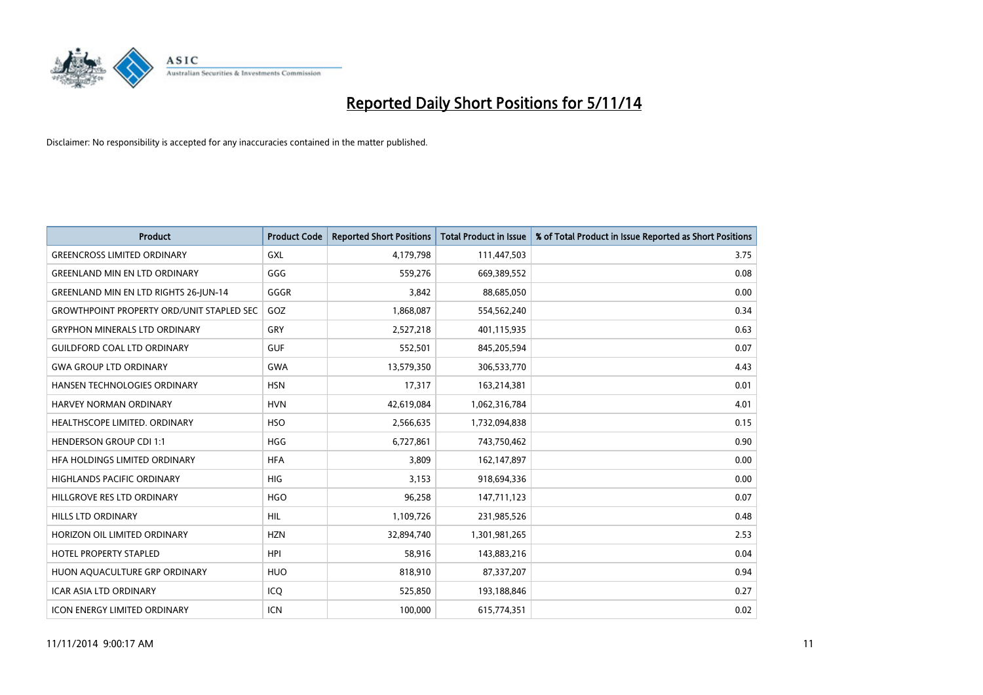

| <b>Product</b>                                   | <b>Product Code</b> | <b>Reported Short Positions</b> | <b>Total Product in Issue</b> | % of Total Product in Issue Reported as Short Positions |
|--------------------------------------------------|---------------------|---------------------------------|-------------------------------|---------------------------------------------------------|
| <b>GREENCROSS LIMITED ORDINARY</b>               | <b>GXL</b>          | 4,179,798                       | 111,447,503                   | 3.75                                                    |
| <b>GREENLAND MIN EN LTD ORDINARY</b>             | GGG                 | 559,276                         | 669,389,552                   | 0.08                                                    |
| <b>GREENLAND MIN EN LTD RIGHTS 26-JUN-14</b>     | GGGR                | 3,842                           | 88,685,050                    | 0.00                                                    |
| <b>GROWTHPOINT PROPERTY ORD/UNIT STAPLED SEC</b> | GOZ                 | 1,868,087                       | 554,562,240                   | 0.34                                                    |
| <b>GRYPHON MINERALS LTD ORDINARY</b>             | GRY                 | 2,527,218                       | 401,115,935                   | 0.63                                                    |
| <b>GUILDFORD COAL LTD ORDINARY</b>               | <b>GUF</b>          | 552,501                         | 845,205,594                   | 0.07                                                    |
| <b>GWA GROUP LTD ORDINARY</b>                    | <b>GWA</b>          | 13,579,350                      | 306,533,770                   | 4.43                                                    |
| HANSEN TECHNOLOGIES ORDINARY                     | <b>HSN</b>          | 17,317                          | 163,214,381                   | 0.01                                                    |
| <b>HARVEY NORMAN ORDINARY</b>                    | <b>HVN</b>          | 42,619,084                      | 1,062,316,784                 | 4.01                                                    |
| HEALTHSCOPE LIMITED. ORDINARY                    | <b>HSO</b>          | 2,566,635                       | 1,732,094,838                 | 0.15                                                    |
| <b>HENDERSON GROUP CDI 1:1</b>                   | <b>HGG</b>          | 6,727,861                       | 743,750,462                   | 0.90                                                    |
| HFA HOLDINGS LIMITED ORDINARY                    | <b>HFA</b>          | 3,809                           | 162,147,897                   | 0.00                                                    |
| HIGHLANDS PACIFIC ORDINARY                       | <b>HIG</b>          | 3,153                           | 918,694,336                   | 0.00                                                    |
| HILLGROVE RES LTD ORDINARY                       | <b>HGO</b>          | 96,258                          | 147,711,123                   | 0.07                                                    |
| <b>HILLS LTD ORDINARY</b>                        | <b>HIL</b>          | 1,109,726                       | 231,985,526                   | 0.48                                                    |
| HORIZON OIL LIMITED ORDINARY                     | <b>HZN</b>          | 32,894,740                      | 1,301,981,265                 | 2.53                                                    |
| HOTEL PROPERTY STAPLED                           | <b>HPI</b>          | 58,916                          | 143,883,216                   | 0.04                                                    |
| HUON AQUACULTURE GRP ORDINARY                    | <b>HUO</b>          | 818,910                         | 87,337,207                    | 0.94                                                    |
| <b>ICAR ASIA LTD ORDINARY</b>                    | ICQ                 | 525,850                         | 193,188,846                   | 0.27                                                    |
| <b>ICON ENERGY LIMITED ORDINARY</b>              | ICN                 | 100,000                         | 615,774,351                   | 0.02                                                    |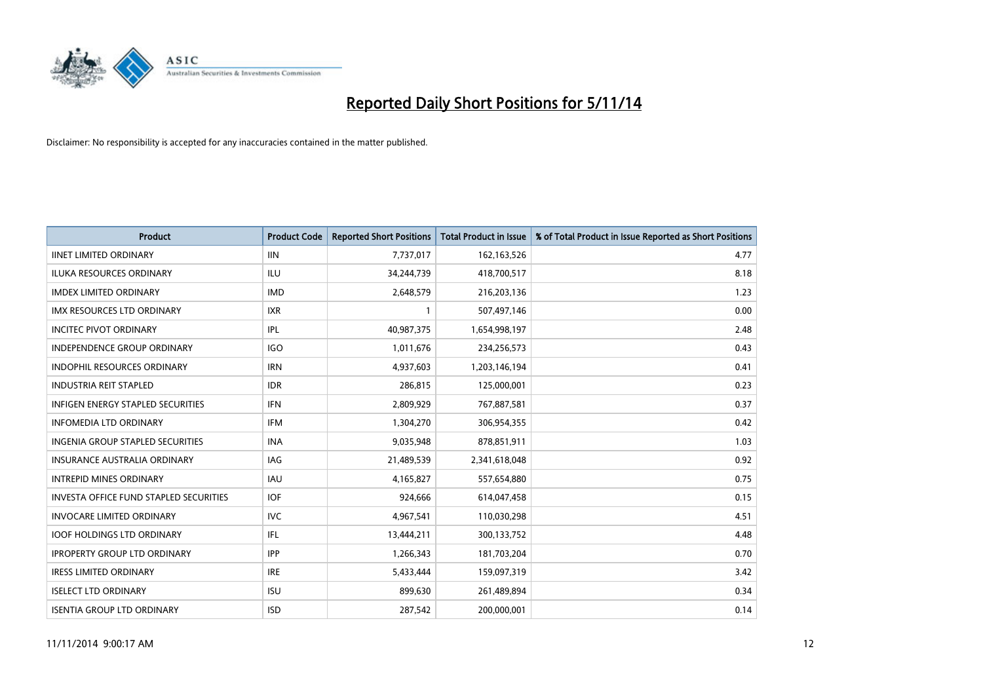

| <b>Product</b>                                | <b>Product Code</b> | <b>Reported Short Positions</b> | <b>Total Product in Issue</b> | % of Total Product in Issue Reported as Short Positions |
|-----------------------------------------------|---------------------|---------------------------------|-------------------------------|---------------------------------------------------------|
| <b>IINET LIMITED ORDINARY</b>                 | <b>IIN</b>          | 7,737,017                       | 162,163,526                   | 4.77                                                    |
| ILUKA RESOURCES ORDINARY                      | ILU                 | 34,244,739                      | 418,700,517                   | 8.18                                                    |
| <b>IMDEX LIMITED ORDINARY</b>                 | <b>IMD</b>          | 2,648,579                       | 216,203,136                   | 1.23                                                    |
| IMX RESOURCES LTD ORDINARY                    | <b>IXR</b>          | 1                               | 507,497,146                   | 0.00                                                    |
| <b>INCITEC PIVOT ORDINARY</b>                 | IPL                 | 40,987,375                      | 1,654,998,197                 | 2.48                                                    |
| <b>INDEPENDENCE GROUP ORDINARY</b>            | <b>IGO</b>          | 1,011,676                       | 234,256,573                   | 0.43                                                    |
| <b>INDOPHIL RESOURCES ORDINARY</b>            | <b>IRN</b>          | 4,937,603                       | 1,203,146,194                 | 0.41                                                    |
| <b>INDUSTRIA REIT STAPLED</b>                 | <b>IDR</b>          | 286,815                         | 125,000,001                   | 0.23                                                    |
| <b>INFIGEN ENERGY STAPLED SECURITIES</b>      | <b>IFN</b>          | 2,809,929                       | 767,887,581                   | 0.37                                                    |
| <b>INFOMEDIA LTD ORDINARY</b>                 | <b>IFM</b>          | 1,304,270                       | 306,954,355                   | 0.42                                                    |
| INGENIA GROUP STAPLED SECURITIES              | <b>INA</b>          | 9,035,948                       | 878,851,911                   | 1.03                                                    |
| <b>INSURANCE AUSTRALIA ORDINARY</b>           | IAG                 | 21,489,539                      | 2,341,618,048                 | 0.92                                                    |
| <b>INTREPID MINES ORDINARY</b>                | <b>IAU</b>          | 4,165,827                       | 557,654,880                   | 0.75                                                    |
| <b>INVESTA OFFICE FUND STAPLED SECURITIES</b> | <b>IOF</b>          | 924,666                         | 614,047,458                   | 0.15                                                    |
| <b>INVOCARE LIMITED ORDINARY</b>              | <b>IVC</b>          | 4,967,541                       | 110,030,298                   | 4.51                                                    |
| <b>IOOF HOLDINGS LTD ORDINARY</b>             | IFL                 | 13,444,211                      | 300,133,752                   | 4.48                                                    |
| <b>IPROPERTY GROUP LTD ORDINARY</b>           | <b>IPP</b>          | 1,266,343                       | 181,703,204                   | 0.70                                                    |
| <b>IRESS LIMITED ORDINARY</b>                 | <b>IRE</b>          | 5,433,444                       | 159,097,319                   | 3.42                                                    |
| <b>ISELECT LTD ORDINARY</b>                   | <b>ISU</b>          | 899,630                         | 261,489,894                   | 0.34                                                    |
| <b>ISENTIA GROUP LTD ORDINARY</b>             | <b>ISD</b>          | 287,542                         | 200,000,001                   | 0.14                                                    |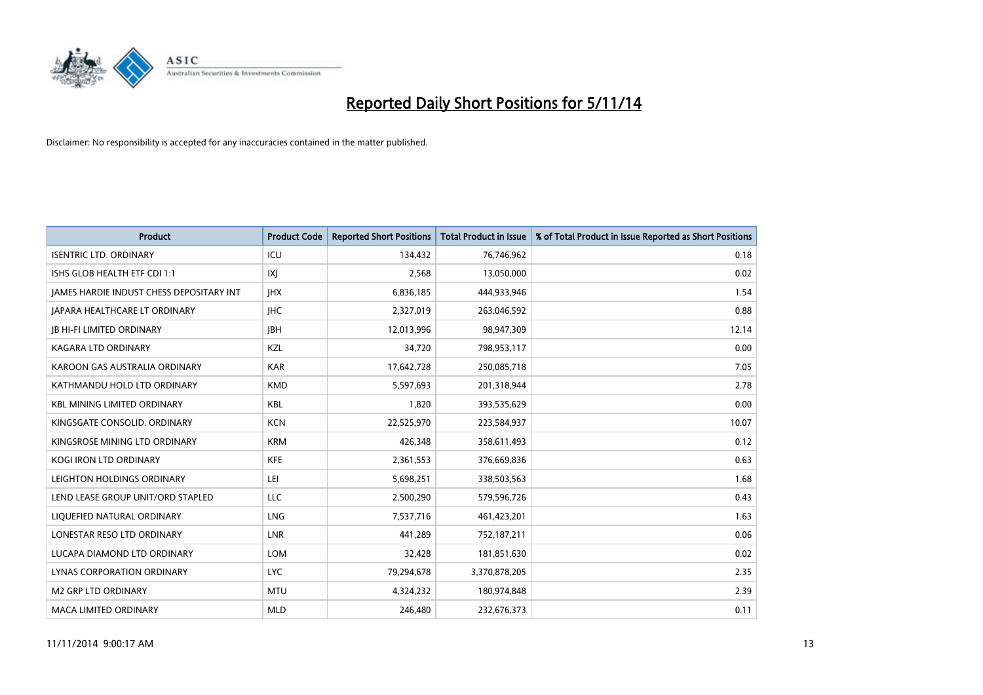

| <b>Product</b>                           | <b>Product Code</b> | <b>Reported Short Positions</b> | <b>Total Product in Issue</b> | % of Total Product in Issue Reported as Short Positions |
|------------------------------------------|---------------------|---------------------------------|-------------------------------|---------------------------------------------------------|
| <b>ISENTRIC LTD. ORDINARY</b>            | ICU                 | 134,432                         | 76,746,962                    | 0.18                                                    |
| ISHS GLOB HEALTH ETF CDI 1:1             | X                   | 2,568                           | 13,050,000                    | 0.02                                                    |
| JAMES HARDIE INDUST CHESS DEPOSITARY INT | <b>IHX</b>          | 6,836,185                       | 444,933,946                   | 1.54                                                    |
| <b>JAPARA HEALTHCARE LT ORDINARY</b>     | <b>IHC</b>          | 2,327,019                       | 263,046,592                   | 0.88                                                    |
| <b>JB HI-FI LIMITED ORDINARY</b>         | <b>JBH</b>          | 12,013,996                      | 98,947,309                    | 12.14                                                   |
| <b>KAGARA LTD ORDINARY</b>               | KZL                 | 34,720                          | 798,953,117                   | 0.00                                                    |
| KAROON GAS AUSTRALIA ORDINARY            | <b>KAR</b>          | 17,642,728                      | 250,085,718                   | 7.05                                                    |
| KATHMANDU HOLD LTD ORDINARY              | <b>KMD</b>          | 5,597,693                       | 201,318,944                   | 2.78                                                    |
| <b>KBL MINING LIMITED ORDINARY</b>       | <b>KBL</b>          | 1,820                           | 393,535,629                   | 0.00                                                    |
| KINGSGATE CONSOLID. ORDINARY             | <b>KCN</b>          | 22,525,970                      | 223,584,937                   | 10.07                                                   |
| KINGSROSE MINING LTD ORDINARY            | <b>KRM</b>          | 426,348                         | 358,611,493                   | 0.12                                                    |
| <b>KOGI IRON LTD ORDINARY</b>            | <b>KFE</b>          | 2,361,553                       | 376,669,836                   | 0.63                                                    |
| LEIGHTON HOLDINGS ORDINARY               | LEI                 | 5,698,251                       | 338,503,563                   | 1.68                                                    |
| LEND LEASE GROUP UNIT/ORD STAPLED        | LLC                 | 2,500,290                       | 579,596,726                   | 0.43                                                    |
| LIQUEFIED NATURAL ORDINARY               | LNG                 | 7,537,716                       | 461,423,201                   | 1.63                                                    |
| LONESTAR RESO LTD ORDINARY               | LNR                 | 441,289                         | 752,187,211                   | 0.06                                                    |
| LUCAPA DIAMOND LTD ORDINARY              | <b>LOM</b>          | 32,428                          | 181,851,630                   | 0.02                                                    |
| LYNAS CORPORATION ORDINARY               | <b>LYC</b>          | 79,294,678                      | 3,370,878,205                 | 2.35                                                    |
| <b>M2 GRP LTD ORDINARY</b>               | <b>MTU</b>          | 4,324,232                       | 180,974,848                   | 2.39                                                    |
| <b>MACA LIMITED ORDINARY</b>             | <b>MLD</b>          | 246,480                         | 232,676,373                   | 0.11                                                    |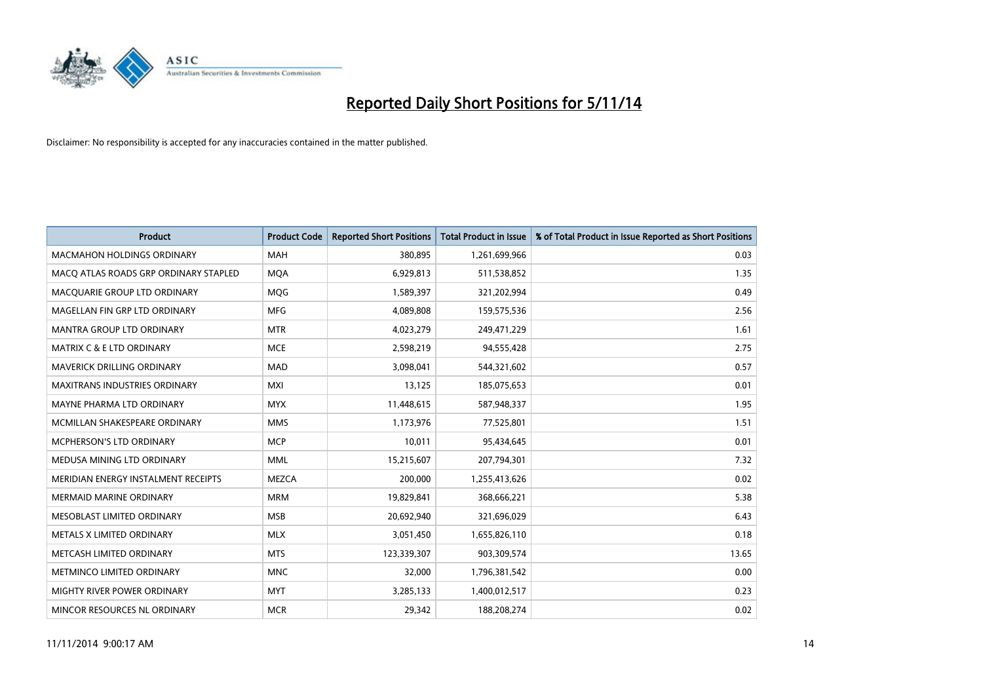

| <b>Product</b>                        | <b>Product Code</b> | <b>Reported Short Positions</b> | <b>Total Product in Issue</b> | % of Total Product in Issue Reported as Short Positions |
|---------------------------------------|---------------------|---------------------------------|-------------------------------|---------------------------------------------------------|
| <b>MACMAHON HOLDINGS ORDINARY</b>     | <b>MAH</b>          | 380,895                         | 1,261,699,966                 | 0.03                                                    |
| MACO ATLAS ROADS GRP ORDINARY STAPLED | <b>MOA</b>          | 6,929,813                       | 511,538,852                   | 1.35                                                    |
| MACOUARIE GROUP LTD ORDINARY          | <b>MOG</b>          | 1,589,397                       | 321,202,994                   | 0.49                                                    |
| MAGELLAN FIN GRP LTD ORDINARY         | <b>MFG</b>          | 4,089,808                       | 159,575,536                   | 2.56                                                    |
| <b>MANTRA GROUP LTD ORDINARY</b>      | <b>MTR</b>          | 4,023,279                       | 249,471,229                   | 1.61                                                    |
| <b>MATRIX C &amp; E LTD ORDINARY</b>  | <b>MCE</b>          | 2,598,219                       | 94,555,428                    | 2.75                                                    |
| <b>MAVERICK DRILLING ORDINARY</b>     | <b>MAD</b>          | 3,098,041                       | 544,321,602                   | 0.57                                                    |
| <b>MAXITRANS INDUSTRIES ORDINARY</b>  | <b>MXI</b>          | 13,125                          | 185,075,653                   | 0.01                                                    |
| MAYNE PHARMA LTD ORDINARY             | <b>MYX</b>          | 11,448,615                      | 587,948,337                   | 1.95                                                    |
| MCMILLAN SHAKESPEARE ORDINARY         | <b>MMS</b>          | 1,173,976                       | 77,525,801                    | 1.51                                                    |
| <b>MCPHERSON'S LTD ORDINARY</b>       | <b>MCP</b>          | 10,011                          | 95,434,645                    | 0.01                                                    |
| MEDUSA MINING LTD ORDINARY            | <b>MML</b>          | 15,215,607                      | 207,794,301                   | 7.32                                                    |
| MERIDIAN ENERGY INSTALMENT RECEIPTS   | <b>MEZCA</b>        | 200,000                         | 1,255,413,626                 | 0.02                                                    |
| <b>MERMAID MARINE ORDINARY</b>        | <b>MRM</b>          | 19,829,841                      | 368,666,221                   | 5.38                                                    |
| MESOBLAST LIMITED ORDINARY            | <b>MSB</b>          | 20,692,940                      | 321,696,029                   | 6.43                                                    |
| METALS X LIMITED ORDINARY             | <b>MLX</b>          | 3,051,450                       | 1,655,826,110                 | 0.18                                                    |
| METCASH LIMITED ORDINARY              | <b>MTS</b>          | 123,339,307                     | 903,309,574                   | 13.65                                                   |
| METMINCO LIMITED ORDINARY             | <b>MNC</b>          | 32,000                          | 1,796,381,542                 | 0.00                                                    |
| MIGHTY RIVER POWER ORDINARY           | <b>MYT</b>          | 3,285,133                       | 1,400,012,517                 | 0.23                                                    |
| MINCOR RESOURCES NL ORDINARY          | <b>MCR</b>          | 29,342                          | 188,208,274                   | 0.02                                                    |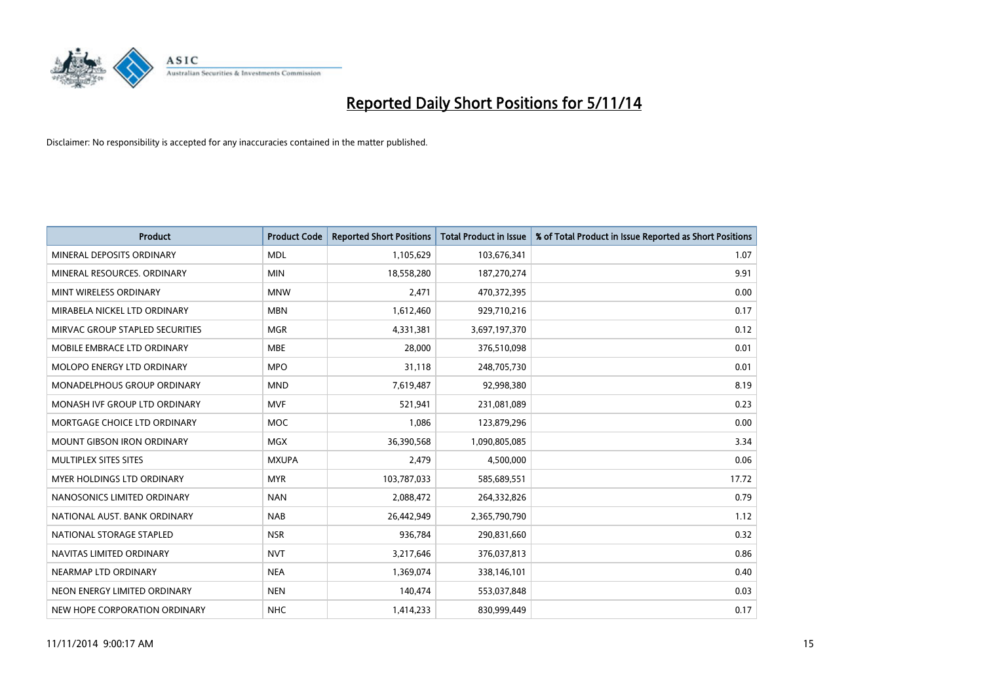

| <b>Product</b>                     | <b>Product Code</b> | <b>Reported Short Positions</b> | <b>Total Product in Issue</b> | % of Total Product in Issue Reported as Short Positions |
|------------------------------------|---------------------|---------------------------------|-------------------------------|---------------------------------------------------------|
| MINERAL DEPOSITS ORDINARY          | <b>MDL</b>          | 1,105,629                       | 103,676,341                   | 1.07                                                    |
| MINERAL RESOURCES, ORDINARY        | <b>MIN</b>          | 18,558,280                      | 187,270,274                   | 9.91                                                    |
| MINT WIRELESS ORDINARY             | <b>MNW</b>          | 2,471                           | 470,372,395                   | 0.00                                                    |
| MIRABELA NICKEL LTD ORDINARY       | <b>MBN</b>          | 1,612,460                       | 929,710,216                   | 0.17                                                    |
| MIRVAC GROUP STAPLED SECURITIES    | <b>MGR</b>          | 4,331,381                       | 3,697,197,370                 | 0.12                                                    |
| MOBILE EMBRACE LTD ORDINARY        | <b>MBE</b>          | 28,000                          | 376,510,098                   | 0.01                                                    |
| MOLOPO ENERGY LTD ORDINARY         | <b>MPO</b>          | 31.118                          | 248,705,730                   | 0.01                                                    |
| <b>MONADELPHOUS GROUP ORDINARY</b> | <b>MND</b>          | 7,619,487                       | 92,998,380                    | 8.19                                                    |
| MONASH IVF GROUP LTD ORDINARY      | MVF                 | 521,941                         | 231,081,089                   | 0.23                                                    |
| MORTGAGE CHOICE LTD ORDINARY       | <b>MOC</b>          | 1,086                           | 123,879,296                   | 0.00                                                    |
| <b>MOUNT GIBSON IRON ORDINARY</b>  | <b>MGX</b>          | 36,390,568                      | 1,090,805,085                 | 3.34                                                    |
| MULTIPLEX SITES SITES              | <b>MXUPA</b>        | 2,479                           | 4,500,000                     | 0.06                                                    |
| <b>MYER HOLDINGS LTD ORDINARY</b>  | <b>MYR</b>          | 103,787,033                     | 585,689,551                   | 17.72                                                   |
| NANOSONICS LIMITED ORDINARY        | <b>NAN</b>          | 2,088,472                       | 264,332,826                   | 0.79                                                    |
| NATIONAL AUST, BANK ORDINARY       | <b>NAB</b>          | 26,442,949                      | 2,365,790,790                 | 1.12                                                    |
| NATIONAL STORAGE STAPLED           | <b>NSR</b>          | 936,784                         | 290,831,660                   | 0.32                                                    |
| NAVITAS LIMITED ORDINARY           | <b>NVT</b>          | 3,217,646                       | 376,037,813                   | 0.86                                                    |
| NEARMAP LTD ORDINARY               | <b>NEA</b>          | 1,369,074                       | 338,146,101                   | 0.40                                                    |
| NEON ENERGY LIMITED ORDINARY       | <b>NEN</b>          | 140,474                         | 553,037,848                   | 0.03                                                    |
| NEW HOPE CORPORATION ORDINARY      | <b>NHC</b>          | 1,414,233                       | 830.999.449                   | 0.17                                                    |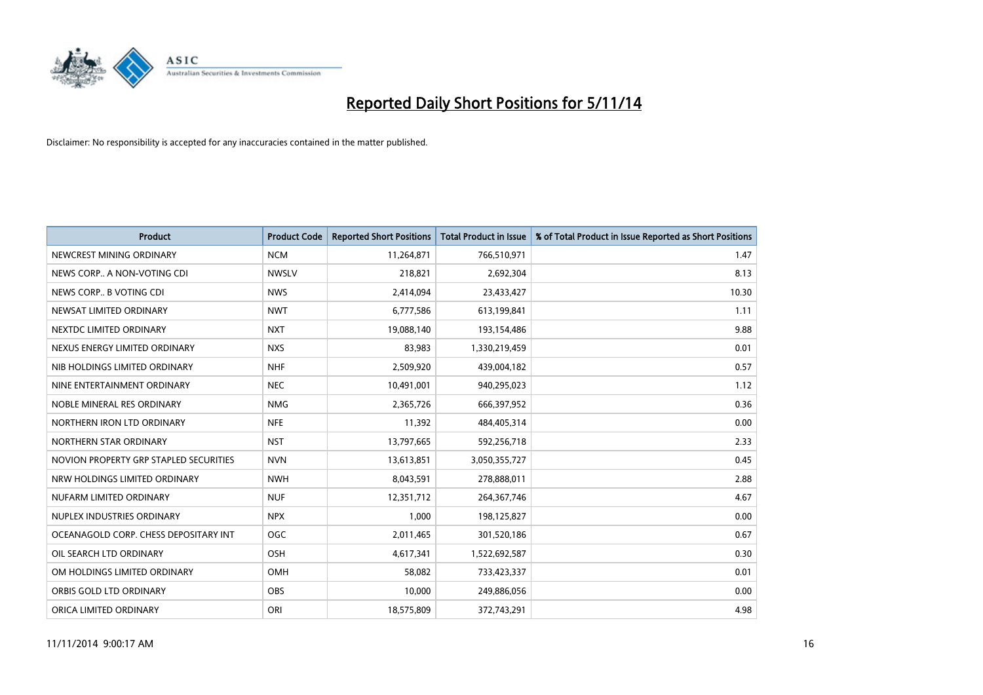

| <b>Product</b>                         | <b>Product Code</b> | <b>Reported Short Positions</b> | <b>Total Product in Issue</b> | % of Total Product in Issue Reported as Short Positions |
|----------------------------------------|---------------------|---------------------------------|-------------------------------|---------------------------------------------------------|
| NEWCREST MINING ORDINARY               | <b>NCM</b>          | 11,264,871                      | 766,510,971                   | 1.47                                                    |
| NEWS CORP A NON-VOTING CDI             | <b>NWSLV</b>        | 218,821                         | 2,692,304                     | 8.13                                                    |
| NEWS CORP B VOTING CDI                 | <b>NWS</b>          | 2,414,094                       | 23,433,427                    | 10.30                                                   |
| NEWSAT LIMITED ORDINARY                | <b>NWT</b>          | 6,777,586                       | 613,199,841                   | 1.11                                                    |
| NEXTDC LIMITED ORDINARY                | <b>NXT</b>          | 19,088,140                      | 193,154,486                   | 9.88                                                    |
| NEXUS ENERGY LIMITED ORDINARY          | <b>NXS</b>          | 83,983                          | 1,330,219,459                 | 0.01                                                    |
| NIB HOLDINGS LIMITED ORDINARY          | <b>NHF</b>          | 2,509,920                       | 439,004,182                   | 0.57                                                    |
| NINE ENTERTAINMENT ORDINARY            | <b>NEC</b>          | 10,491,001                      | 940,295,023                   | 1.12                                                    |
| NOBLE MINERAL RES ORDINARY             | <b>NMG</b>          | 2,365,726                       | 666,397,952                   | 0.36                                                    |
| NORTHERN IRON LTD ORDINARY             | <b>NFE</b>          | 11,392                          | 484,405,314                   | 0.00                                                    |
| NORTHERN STAR ORDINARY                 | <b>NST</b>          | 13,797,665                      | 592,256,718                   | 2.33                                                    |
| NOVION PROPERTY GRP STAPLED SECURITIES | <b>NVN</b>          | 13,613,851                      | 3,050,355,727                 | 0.45                                                    |
| NRW HOLDINGS LIMITED ORDINARY          | <b>NWH</b>          | 8,043,591                       | 278,888,011                   | 2.88                                                    |
| NUFARM LIMITED ORDINARY                | <b>NUF</b>          | 12,351,712                      | 264, 367, 746                 | 4.67                                                    |
| NUPLEX INDUSTRIES ORDINARY             | <b>NPX</b>          | 1,000                           | 198,125,827                   | 0.00                                                    |
| OCEANAGOLD CORP. CHESS DEPOSITARY INT  | <b>OGC</b>          | 2,011,465                       | 301,520,186                   | 0.67                                                    |
| OIL SEARCH LTD ORDINARY                | OSH                 | 4,617,341                       | 1,522,692,587                 | 0.30                                                    |
| OM HOLDINGS LIMITED ORDINARY           | OMH                 | 58,082                          | 733,423,337                   | 0.01                                                    |
| ORBIS GOLD LTD ORDINARY                | <b>OBS</b>          | 10,000                          | 249,886,056                   | 0.00                                                    |
| ORICA LIMITED ORDINARY                 | ORI                 | 18,575,809                      | 372,743,291                   | 4.98                                                    |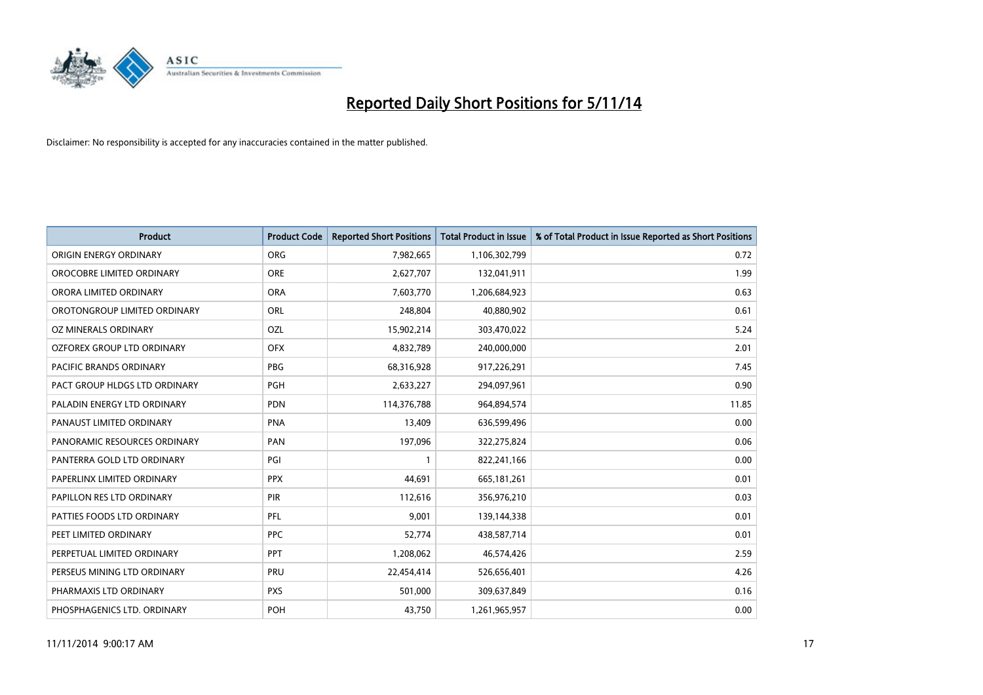

| <b>Product</b>                | <b>Product Code</b> | <b>Reported Short Positions</b> | <b>Total Product in Issue</b> | % of Total Product in Issue Reported as Short Positions |
|-------------------------------|---------------------|---------------------------------|-------------------------------|---------------------------------------------------------|
| ORIGIN ENERGY ORDINARY        | <b>ORG</b>          | 7,982,665                       | 1,106,302,799                 | 0.72                                                    |
| OROCOBRE LIMITED ORDINARY     | <b>ORE</b>          | 2,627,707                       | 132,041,911                   | 1.99                                                    |
| ORORA LIMITED ORDINARY        | <b>ORA</b>          | 7,603,770                       | 1,206,684,923                 | 0.63                                                    |
| OROTONGROUP LIMITED ORDINARY  | ORL                 | 248,804                         | 40,880,902                    | 0.61                                                    |
| OZ MINERALS ORDINARY          | <b>OZL</b>          | 15,902,214                      | 303,470,022                   | 5.24                                                    |
| OZFOREX GROUP LTD ORDINARY    | <b>OFX</b>          | 4,832,789                       | 240,000,000                   | 2.01                                                    |
| PACIFIC BRANDS ORDINARY       | <b>PBG</b>          | 68,316,928                      | 917,226,291                   | 7.45                                                    |
| PACT GROUP HLDGS LTD ORDINARY | PGH                 | 2,633,227                       | 294,097,961                   | 0.90                                                    |
| PALADIN ENERGY LTD ORDINARY   | <b>PDN</b>          | 114,376,788                     | 964,894,574                   | 11.85                                                   |
| PANAUST LIMITED ORDINARY      | <b>PNA</b>          | 13,409                          | 636,599,496                   | 0.00                                                    |
| PANORAMIC RESOURCES ORDINARY  | <b>PAN</b>          | 197,096                         | 322,275,824                   | 0.06                                                    |
| PANTERRA GOLD LTD ORDINARY    | PGI                 | $\mathbf{1}$                    | 822,241,166                   | 0.00                                                    |
| PAPERLINX LIMITED ORDINARY    | <b>PPX</b>          | 44,691                          | 665,181,261                   | 0.01                                                    |
| PAPILLON RES LTD ORDINARY     | PIR                 | 112,616                         | 356,976,210                   | 0.03                                                    |
| PATTIES FOODS LTD ORDINARY    | <b>PFL</b>          | 9,001                           | 139,144,338                   | 0.01                                                    |
| PEET LIMITED ORDINARY         | <b>PPC</b>          | 52,774                          | 438,587,714                   | 0.01                                                    |
| PERPETUAL LIMITED ORDINARY    | PPT                 | 1,208,062                       | 46,574,426                    | 2.59                                                    |
| PERSEUS MINING LTD ORDINARY   | PRU                 | 22,454,414                      | 526,656,401                   | 4.26                                                    |
| PHARMAXIS LTD ORDINARY        | <b>PXS</b>          | 501,000                         | 309,637,849                   | 0.16                                                    |
| PHOSPHAGENICS LTD. ORDINARY   | <b>POH</b>          | 43,750                          | 1,261,965,957                 | 0.00                                                    |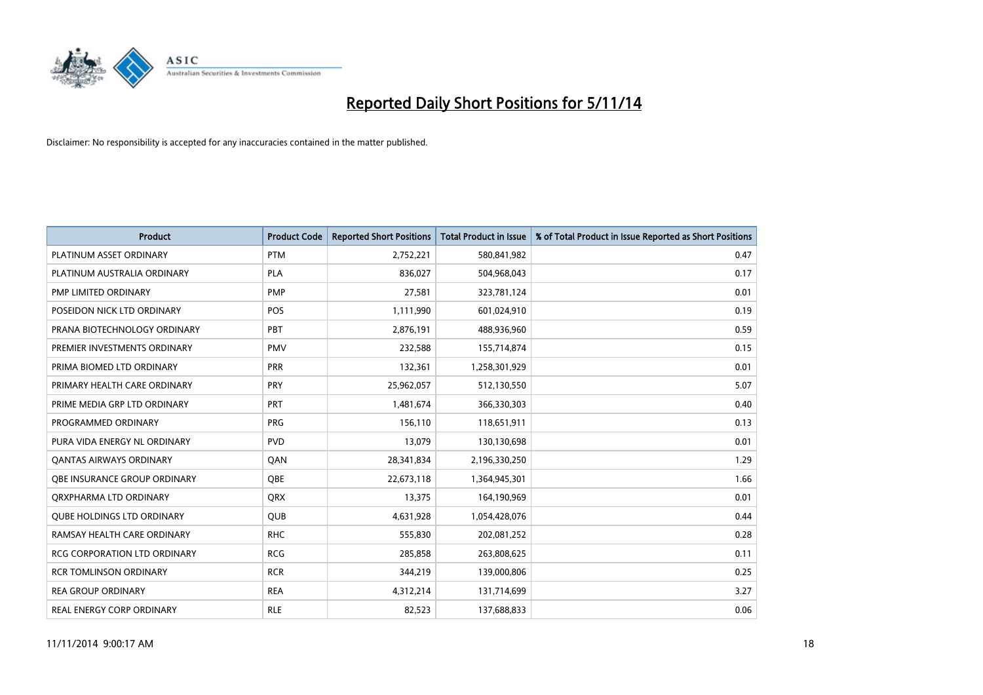

| <b>Product</b>                    | <b>Product Code</b> | <b>Reported Short Positions</b> | <b>Total Product in Issue</b> | % of Total Product in Issue Reported as Short Positions |
|-----------------------------------|---------------------|---------------------------------|-------------------------------|---------------------------------------------------------|
| PLATINUM ASSET ORDINARY           | <b>PTM</b>          | 2,752,221                       | 580,841,982                   | 0.47                                                    |
| PLATINUM AUSTRALIA ORDINARY       | <b>PLA</b>          | 836,027                         | 504,968,043                   | 0.17                                                    |
| PMP LIMITED ORDINARY              | <b>PMP</b>          | 27,581                          | 323,781,124                   | 0.01                                                    |
| POSEIDON NICK LTD ORDINARY        | <b>POS</b>          | 1,111,990                       | 601,024,910                   | 0.19                                                    |
| PRANA BIOTECHNOLOGY ORDINARY      | PBT                 | 2,876,191                       | 488,936,960                   | 0.59                                                    |
| PREMIER INVESTMENTS ORDINARY      | <b>PMV</b>          | 232,588                         | 155,714,874                   | 0.15                                                    |
| PRIMA BIOMED LTD ORDINARY         | <b>PRR</b>          | 132,361                         | 1,258,301,929                 | 0.01                                                    |
| PRIMARY HEALTH CARE ORDINARY      | <b>PRY</b>          | 25,962,057                      | 512,130,550                   | 5.07                                                    |
| PRIME MEDIA GRP LTD ORDINARY      | <b>PRT</b>          | 1,481,674                       | 366,330,303                   | 0.40                                                    |
| PROGRAMMED ORDINARY               | <b>PRG</b>          | 156,110                         | 118,651,911                   | 0.13                                                    |
| PURA VIDA ENERGY NL ORDINARY      | <b>PVD</b>          | 13,079                          | 130,130,698                   | 0.01                                                    |
| <b>QANTAS AIRWAYS ORDINARY</b>    | QAN                 | 28,341,834                      | 2,196,330,250                 | 1.29                                                    |
| OBE INSURANCE GROUP ORDINARY      | <b>OBE</b>          | 22,673,118                      | 1,364,945,301                 | 1.66                                                    |
| ORXPHARMA LTD ORDINARY            | <b>QRX</b>          | 13,375                          | 164,190,969                   | 0.01                                                    |
| <b>OUBE HOLDINGS LTD ORDINARY</b> | <b>QUB</b>          | 4,631,928                       | 1,054,428,076                 | 0.44                                                    |
| RAMSAY HEALTH CARE ORDINARY       | <b>RHC</b>          | 555,830                         | 202,081,252                   | 0.28                                                    |
| RCG CORPORATION LTD ORDINARY      | <b>RCG</b>          | 285,858                         | 263,808,625                   | 0.11                                                    |
| <b>RCR TOMLINSON ORDINARY</b>     | <b>RCR</b>          | 344,219                         | 139,000,806                   | 0.25                                                    |
| <b>REA GROUP ORDINARY</b>         | <b>REA</b>          | 4,312,214                       | 131,714,699                   | 3.27                                                    |
| REAL ENERGY CORP ORDINARY         | <b>RLE</b>          | 82,523                          | 137,688,833                   | 0.06                                                    |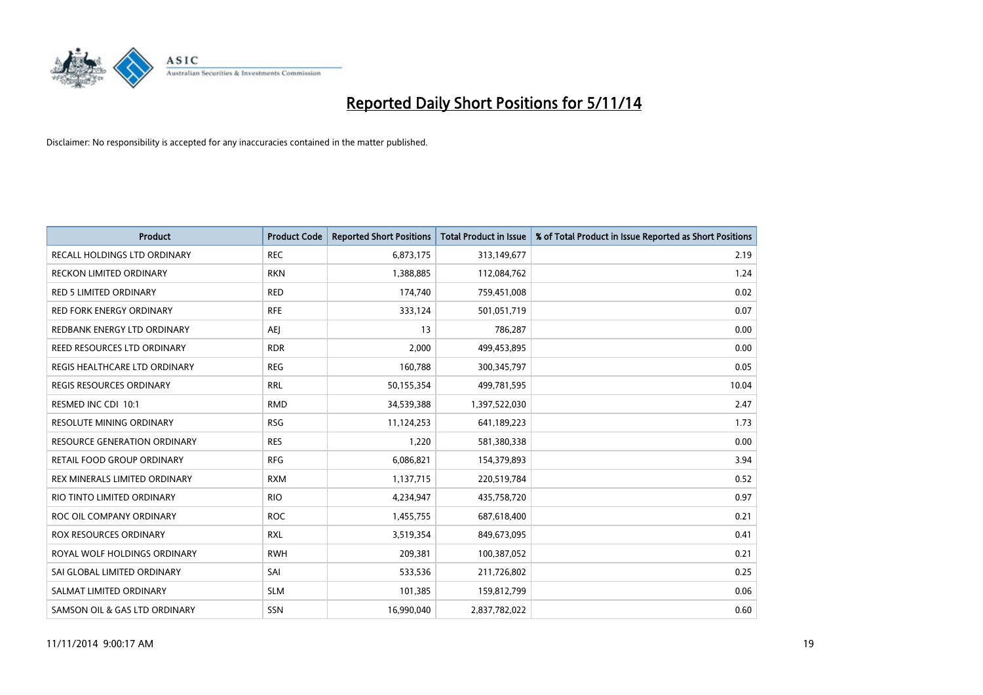

| <b>Product</b>                      | <b>Product Code</b> | <b>Reported Short Positions</b> | <b>Total Product in Issue</b> | % of Total Product in Issue Reported as Short Positions |
|-------------------------------------|---------------------|---------------------------------|-------------------------------|---------------------------------------------------------|
| <b>RECALL HOLDINGS LTD ORDINARY</b> | <b>REC</b>          | 6,873,175                       | 313,149,677                   | 2.19                                                    |
| RECKON LIMITED ORDINARY             | <b>RKN</b>          | 1,388,885                       | 112,084,762                   | 1.24                                                    |
| <b>RED 5 LIMITED ORDINARY</b>       | <b>RED</b>          | 174,740                         | 759,451,008                   | 0.02                                                    |
| <b>RED FORK ENERGY ORDINARY</b>     | <b>RFE</b>          | 333,124                         | 501,051,719                   | 0.07                                                    |
| REDBANK ENERGY LTD ORDINARY         | <b>AEI</b>          | 13                              | 786,287                       | 0.00                                                    |
| <b>REED RESOURCES LTD ORDINARY</b>  | <b>RDR</b>          | 2,000                           | 499,453,895                   | 0.00                                                    |
| REGIS HEALTHCARE LTD ORDINARY       | <b>REG</b>          | 160,788                         | 300, 345, 797                 | 0.05                                                    |
| REGIS RESOURCES ORDINARY            | <b>RRL</b>          | 50,155,354                      | 499,781,595                   | 10.04                                                   |
| RESMED INC CDI 10:1                 | <b>RMD</b>          | 34,539,388                      | 1,397,522,030                 | 2.47                                                    |
| <b>RESOLUTE MINING ORDINARY</b>     | <b>RSG</b>          | 11,124,253                      | 641,189,223                   | 1.73                                                    |
| <b>RESOURCE GENERATION ORDINARY</b> | <b>RES</b>          | 1,220                           | 581,380,338                   | 0.00                                                    |
| RETAIL FOOD GROUP ORDINARY          | <b>RFG</b>          | 6,086,821                       | 154,379,893                   | 3.94                                                    |
| REX MINERALS LIMITED ORDINARY       | <b>RXM</b>          | 1,137,715                       | 220,519,784                   | 0.52                                                    |
| RIO TINTO LIMITED ORDINARY          | <b>RIO</b>          | 4,234,947                       | 435,758,720                   | 0.97                                                    |
| ROC OIL COMPANY ORDINARY            | <b>ROC</b>          | 1,455,755                       | 687,618,400                   | 0.21                                                    |
| ROX RESOURCES ORDINARY              | <b>RXL</b>          | 3,519,354                       | 849,673,095                   | 0.41                                                    |
| ROYAL WOLF HOLDINGS ORDINARY        | <b>RWH</b>          | 209,381                         | 100,387,052                   | 0.21                                                    |
| SAI GLOBAL LIMITED ORDINARY         | SAI                 | 533,536                         | 211,726,802                   | 0.25                                                    |
| SALMAT LIMITED ORDINARY             | <b>SLM</b>          | 101,385                         | 159,812,799                   | 0.06                                                    |
| SAMSON OIL & GAS LTD ORDINARY       | SSN                 | 16,990,040                      | 2,837,782,022                 | 0.60                                                    |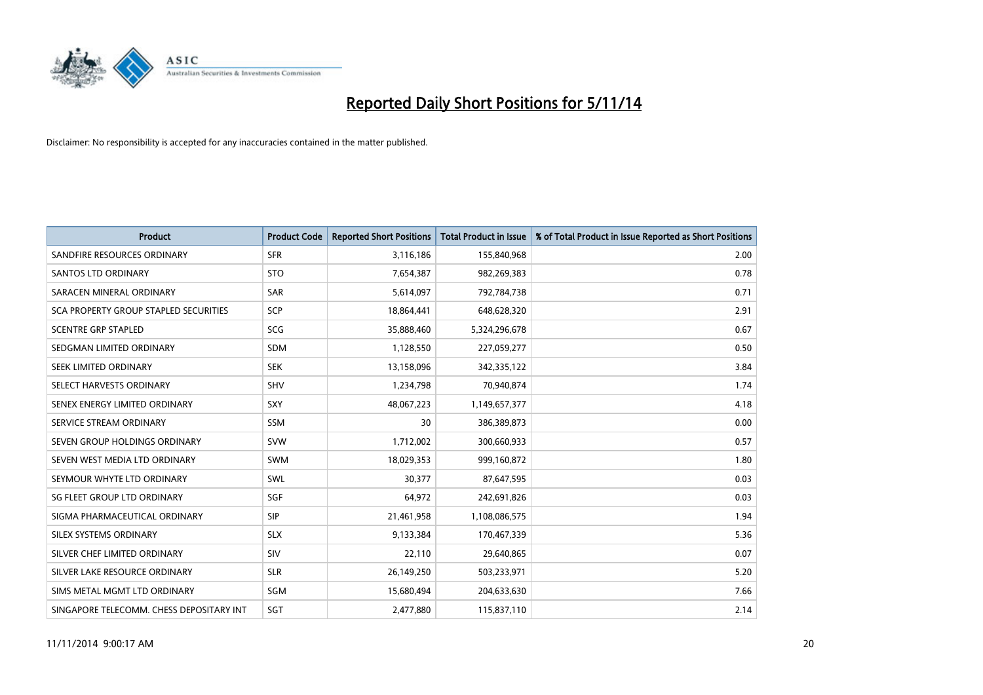

| <b>Product</b>                           | <b>Product Code</b> | <b>Reported Short Positions</b> | <b>Total Product in Issue</b> | % of Total Product in Issue Reported as Short Positions |
|------------------------------------------|---------------------|---------------------------------|-------------------------------|---------------------------------------------------------|
| SANDFIRE RESOURCES ORDINARY              | <b>SFR</b>          | 3,116,186                       | 155,840,968                   | 2.00                                                    |
| SANTOS LTD ORDINARY                      | <b>STO</b>          | 7,654,387                       | 982,269,383                   | 0.78                                                    |
| SARACEN MINERAL ORDINARY                 | <b>SAR</b>          | 5,614,097                       | 792,784,738                   | 0.71                                                    |
| SCA PROPERTY GROUP STAPLED SECURITIES    | SCP                 | 18,864,441                      | 648,628,320                   | 2.91                                                    |
| <b>SCENTRE GRP STAPLED</b>               | <b>SCG</b>          | 35,888,460                      | 5,324,296,678                 | 0.67                                                    |
| SEDGMAN LIMITED ORDINARY                 | SDM                 | 1,128,550                       | 227,059,277                   | 0.50                                                    |
| SEEK LIMITED ORDINARY                    | <b>SEK</b>          | 13,158,096                      | 342,335,122                   | 3.84                                                    |
| SELECT HARVESTS ORDINARY                 | <b>SHV</b>          | 1,234,798                       | 70,940,874                    | 1.74                                                    |
| SENEX ENERGY LIMITED ORDINARY            | <b>SXY</b>          | 48,067,223                      | 1,149,657,377                 | 4.18                                                    |
| SERVICE STREAM ORDINARY                  | <b>SSM</b>          | 30                              | 386,389,873                   | 0.00                                                    |
| SEVEN GROUP HOLDINGS ORDINARY            | <b>SVW</b>          | 1,712,002                       | 300,660,933                   | 0.57                                                    |
| SEVEN WEST MEDIA LTD ORDINARY            | <b>SWM</b>          | 18,029,353                      | 999,160,872                   | 1.80                                                    |
| SEYMOUR WHYTE LTD ORDINARY               | <b>SWL</b>          | 30.377                          | 87,647,595                    | 0.03                                                    |
| SG FLEET GROUP LTD ORDINARY              | SGF                 | 64,972                          | 242,691,826                   | 0.03                                                    |
| SIGMA PHARMACEUTICAL ORDINARY            | <b>SIP</b>          | 21,461,958                      | 1,108,086,575                 | 1.94                                                    |
| SILEX SYSTEMS ORDINARY                   | <b>SLX</b>          | 9,133,384                       | 170,467,339                   | 5.36                                                    |
| SILVER CHEF LIMITED ORDINARY             | SIV                 | 22,110                          | 29,640,865                    | 0.07                                                    |
| SILVER LAKE RESOURCE ORDINARY            | <b>SLR</b>          | 26,149,250                      | 503,233,971                   | 5.20                                                    |
| SIMS METAL MGMT LTD ORDINARY             | SGM                 | 15,680,494                      | 204,633,630                   | 7.66                                                    |
| SINGAPORE TELECOMM. CHESS DEPOSITARY INT | SGT                 | 2,477,880                       | 115,837,110                   | 2.14                                                    |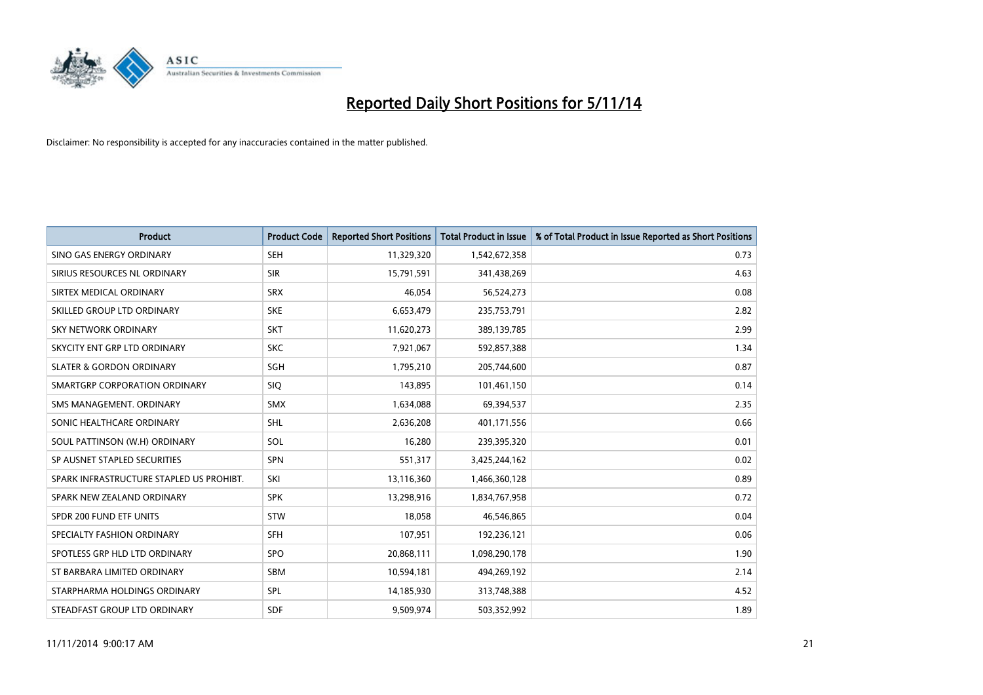

| <b>Product</b>                           | <b>Product Code</b> | <b>Reported Short Positions</b> | <b>Total Product in Issue</b> | % of Total Product in Issue Reported as Short Positions |
|------------------------------------------|---------------------|---------------------------------|-------------------------------|---------------------------------------------------------|
| SINO GAS ENERGY ORDINARY                 | <b>SEH</b>          | 11,329,320                      | 1,542,672,358                 | 0.73                                                    |
| SIRIUS RESOURCES NL ORDINARY             | <b>SIR</b>          | 15,791,591                      | 341,438,269                   | 4.63                                                    |
| SIRTEX MEDICAL ORDINARY                  | <b>SRX</b>          | 46,054                          | 56,524,273                    | 0.08                                                    |
| SKILLED GROUP LTD ORDINARY               | <b>SKE</b>          | 6,653,479                       | 235,753,791                   | 2.82                                                    |
| <b>SKY NETWORK ORDINARY</b>              | <b>SKT</b>          | 11,620,273                      | 389,139,785                   | 2.99                                                    |
| SKYCITY ENT GRP LTD ORDINARY             | <b>SKC</b>          | 7,921,067                       | 592,857,388                   | 1.34                                                    |
| <b>SLATER &amp; GORDON ORDINARY</b>      | SGH                 | 1,795,210                       | 205,744,600                   | 0.87                                                    |
| SMARTGRP CORPORATION ORDINARY            | <b>SIQ</b>          | 143,895                         | 101,461,150                   | 0.14                                                    |
| SMS MANAGEMENT, ORDINARY                 | <b>SMX</b>          | 1,634,088                       | 69,394,537                    | 2.35                                                    |
| SONIC HEALTHCARE ORDINARY                | SHL                 | 2,636,208                       | 401,171,556                   | 0.66                                                    |
| SOUL PATTINSON (W.H) ORDINARY            | SOL                 | 16,280                          | 239,395,320                   | 0.01                                                    |
| SP AUSNET STAPLED SECURITIES             | <b>SPN</b>          | 551,317                         | 3,425,244,162                 | 0.02                                                    |
| SPARK INFRASTRUCTURE STAPLED US PROHIBT. | SKI                 | 13,116,360                      | 1,466,360,128                 | 0.89                                                    |
| SPARK NEW ZEALAND ORDINARY               | <b>SPK</b>          | 13,298,916                      | 1,834,767,958                 | 0.72                                                    |
| SPDR 200 FUND ETF UNITS                  | <b>STW</b>          | 18,058                          | 46,546,865                    | 0.04                                                    |
| SPECIALTY FASHION ORDINARY               | <b>SFH</b>          | 107,951                         | 192,236,121                   | 0.06                                                    |
| SPOTLESS GRP HLD LTD ORDINARY            | <b>SPO</b>          | 20,868,111                      | 1,098,290,178                 | 1.90                                                    |
| ST BARBARA LIMITED ORDINARY              | <b>SBM</b>          | 10,594,181                      | 494,269,192                   | 2.14                                                    |
| STARPHARMA HOLDINGS ORDINARY             | <b>SPL</b>          | 14,185,930                      | 313,748,388                   | 4.52                                                    |
| STEADFAST GROUP LTD ORDINARY             | <b>SDF</b>          | 9,509,974                       | 503,352,992                   | 1.89                                                    |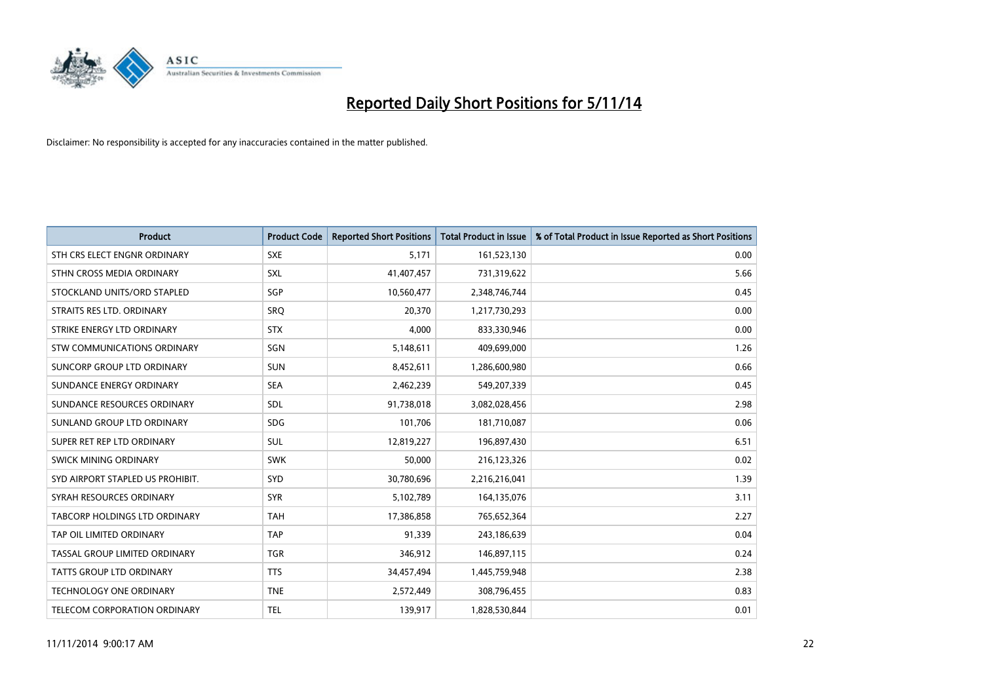

| <b>Product</b>                   | <b>Product Code</b> | <b>Reported Short Positions</b> | <b>Total Product in Issue</b> | % of Total Product in Issue Reported as Short Positions |
|----------------------------------|---------------------|---------------------------------|-------------------------------|---------------------------------------------------------|
| STH CRS ELECT ENGNR ORDINARY     | <b>SXE</b>          | 5,171                           | 161,523,130                   | 0.00                                                    |
| STHN CROSS MEDIA ORDINARY        | <b>SXL</b>          | 41,407,457                      | 731,319,622                   | 5.66                                                    |
| STOCKLAND UNITS/ORD STAPLED      | SGP                 | 10,560,477                      | 2,348,746,744                 | 0.45                                                    |
| STRAITS RES LTD. ORDINARY        | <b>SRQ</b>          | 20,370                          | 1,217,730,293                 | 0.00                                                    |
| STRIKE ENERGY LTD ORDINARY       | <b>STX</b>          | 4,000                           | 833,330,946                   | 0.00                                                    |
| STW COMMUNICATIONS ORDINARY      | SGN                 | 5,148,611                       | 409,699,000                   | 1.26                                                    |
| SUNCORP GROUP LTD ORDINARY       | <b>SUN</b>          | 8,452,611                       | 1,286,600,980                 | 0.66                                                    |
| SUNDANCE ENERGY ORDINARY         | <b>SEA</b>          | 2,462,239                       | 549,207,339                   | 0.45                                                    |
| SUNDANCE RESOURCES ORDINARY      | SDL                 | 91,738,018                      | 3,082,028,456                 | 2.98                                                    |
| SUNLAND GROUP LTD ORDINARY       | <b>SDG</b>          | 101,706                         | 181,710,087                   | 0.06                                                    |
| SUPER RET REP LTD ORDINARY       | SUL                 | 12,819,227                      | 196,897,430                   | 6.51                                                    |
| <b>SWICK MINING ORDINARY</b>     | <b>SWK</b>          | 50,000                          | 216,123,326                   | 0.02                                                    |
| SYD AIRPORT STAPLED US PROHIBIT. | <b>SYD</b>          | 30,780,696                      | 2,216,216,041                 | 1.39                                                    |
| SYRAH RESOURCES ORDINARY         | <b>SYR</b>          | 5,102,789                       | 164,135,076                   | 3.11                                                    |
| TABCORP HOLDINGS LTD ORDINARY    | <b>TAH</b>          | 17,386,858                      | 765,652,364                   | 2.27                                                    |
| TAP OIL LIMITED ORDINARY         | <b>TAP</b>          | 91,339                          | 243,186,639                   | 0.04                                                    |
| TASSAL GROUP LIMITED ORDINARY    | <b>TGR</b>          | 346,912                         | 146,897,115                   | 0.24                                                    |
| <b>TATTS GROUP LTD ORDINARY</b>  | <b>TTS</b>          | 34,457,494                      | 1,445,759,948                 | 2.38                                                    |
| <b>TECHNOLOGY ONE ORDINARY</b>   | <b>TNE</b>          | 2,572,449                       | 308,796,455                   | 0.83                                                    |
| TELECOM CORPORATION ORDINARY     | <b>TEL</b>          | 139,917                         | 1,828,530,844                 | 0.01                                                    |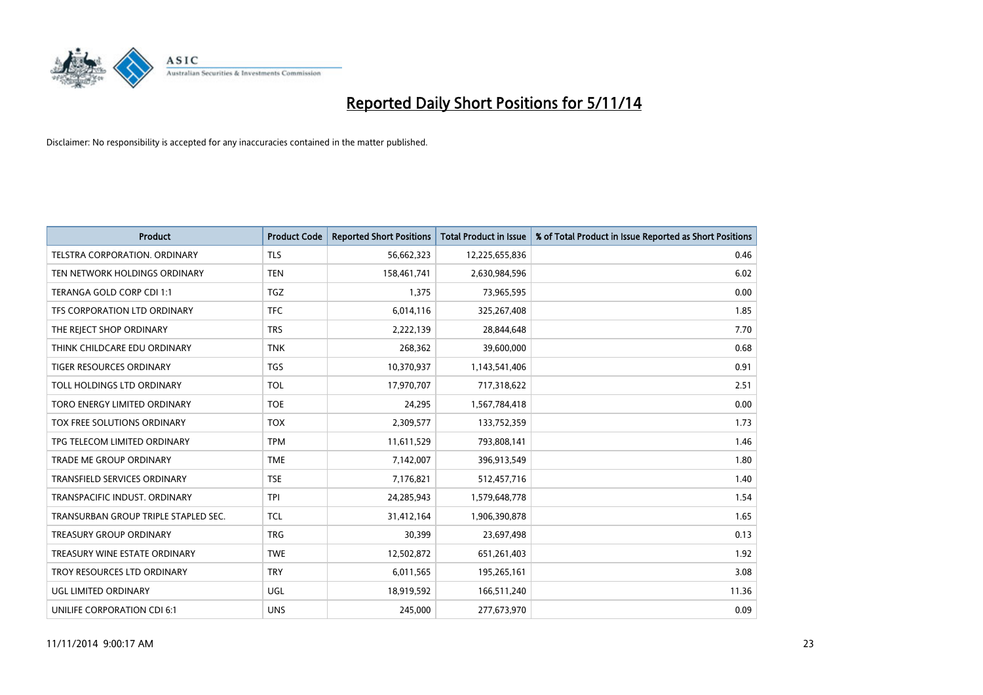

| <b>Product</b>                       | <b>Product Code</b> | <b>Reported Short Positions</b> | <b>Total Product in Issue</b> | % of Total Product in Issue Reported as Short Positions |
|--------------------------------------|---------------------|---------------------------------|-------------------------------|---------------------------------------------------------|
| <b>TELSTRA CORPORATION, ORDINARY</b> | <b>TLS</b>          | 56,662,323                      | 12,225,655,836                | 0.46                                                    |
| TEN NETWORK HOLDINGS ORDINARY        | <b>TEN</b>          | 158,461,741                     | 2,630,984,596                 | 6.02                                                    |
| TERANGA GOLD CORP CDI 1:1            | <b>TGZ</b>          | 1,375                           | 73,965,595                    | 0.00                                                    |
| TFS CORPORATION LTD ORDINARY         | <b>TFC</b>          | 6,014,116                       | 325,267,408                   | 1.85                                                    |
| THE REJECT SHOP ORDINARY             | <b>TRS</b>          | 2,222,139                       | 28,844,648                    | 7.70                                                    |
| THINK CHILDCARE EDU ORDINARY         | <b>TNK</b>          | 268,362                         | 39,600,000                    | 0.68                                                    |
| TIGER RESOURCES ORDINARY             | <b>TGS</b>          | 10,370,937                      | 1,143,541,406                 | 0.91                                                    |
| TOLL HOLDINGS LTD ORDINARY           | <b>TOL</b>          | 17,970,707                      | 717,318,622                   | 2.51                                                    |
| TORO ENERGY LIMITED ORDINARY         | <b>TOE</b>          | 24,295                          | 1,567,784,418                 | 0.00                                                    |
| <b>TOX FREE SOLUTIONS ORDINARY</b>   | <b>TOX</b>          | 2,309,577                       | 133,752,359                   | 1.73                                                    |
| TPG TELECOM LIMITED ORDINARY         | <b>TPM</b>          | 11,611,529                      | 793,808,141                   | 1.46                                                    |
| <b>TRADE ME GROUP ORDINARY</b>       | <b>TME</b>          | 7,142,007                       | 396,913,549                   | 1.80                                                    |
| <b>TRANSFIELD SERVICES ORDINARY</b>  | <b>TSE</b>          | 7,176,821                       | 512,457,716                   | 1.40                                                    |
| TRANSPACIFIC INDUST, ORDINARY        | <b>TPI</b>          | 24,285,943                      | 1,579,648,778                 | 1.54                                                    |
| TRANSURBAN GROUP TRIPLE STAPLED SEC. | <b>TCL</b>          | 31,412,164                      | 1,906,390,878                 | 1.65                                                    |
| <b>TREASURY GROUP ORDINARY</b>       | <b>TRG</b>          | 30,399                          | 23,697,498                    | 0.13                                                    |
| TREASURY WINE ESTATE ORDINARY        | <b>TWE</b>          | 12,502,872                      | 651,261,403                   | 1.92                                                    |
| TROY RESOURCES LTD ORDINARY          | <b>TRY</b>          | 6,011,565                       | 195,265,161                   | 3.08                                                    |
| UGL LIMITED ORDINARY                 | <b>UGL</b>          | 18,919,592                      | 166,511,240                   | 11.36                                                   |
| UNILIFE CORPORATION CDI 6:1          | <b>UNS</b>          | 245,000                         | 277,673,970                   | 0.09                                                    |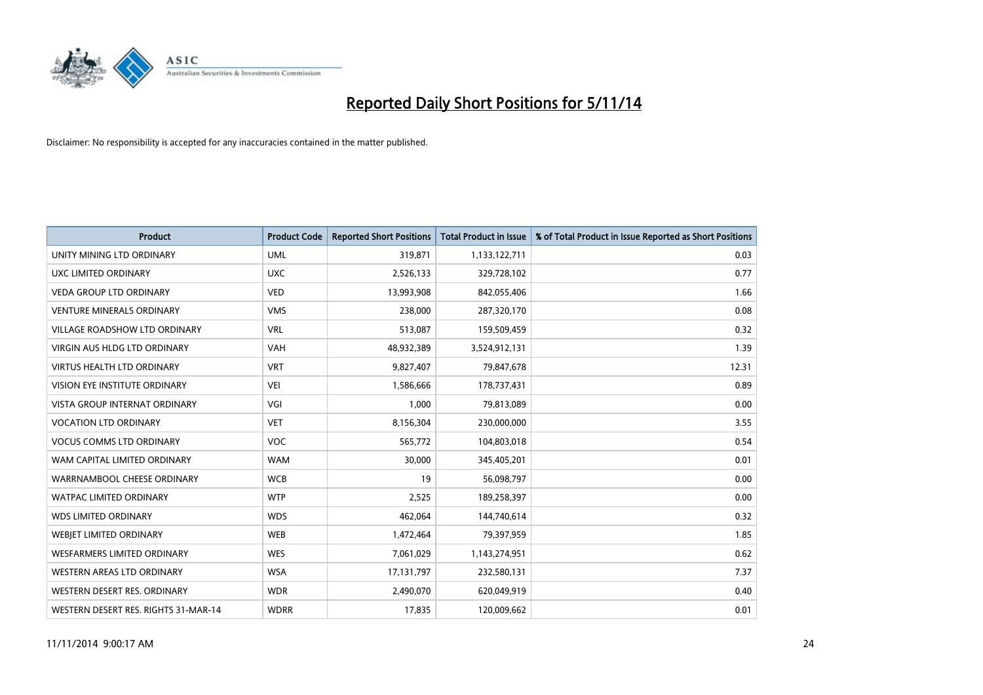

| <b>Product</b>                       | <b>Product Code</b> | <b>Reported Short Positions</b> | <b>Total Product in Issue</b> | % of Total Product in Issue Reported as Short Positions |
|--------------------------------------|---------------------|---------------------------------|-------------------------------|---------------------------------------------------------|
| UNITY MINING LTD ORDINARY            | <b>UML</b>          | 319,871                         | 1,133,122,711                 | 0.03                                                    |
| UXC LIMITED ORDINARY                 | <b>UXC</b>          | 2,526,133                       | 329,728,102                   | 0.77                                                    |
| <b>VEDA GROUP LTD ORDINARY</b>       | <b>VED</b>          | 13,993,908                      | 842,055,406                   | 1.66                                                    |
| <b>VENTURE MINERALS ORDINARY</b>     | <b>VMS</b>          | 238,000                         | 287,320,170                   | 0.08                                                    |
| <b>VILLAGE ROADSHOW LTD ORDINARY</b> | <b>VRL</b>          | 513,087                         | 159,509,459                   | 0.32                                                    |
| <b>VIRGIN AUS HLDG LTD ORDINARY</b>  | <b>VAH</b>          | 48,932,389                      | 3,524,912,131                 | 1.39                                                    |
| <b>VIRTUS HEALTH LTD ORDINARY</b>    | <b>VRT</b>          | 9,827,407                       | 79,847,678                    | 12.31                                                   |
| VISION EYE INSTITUTE ORDINARY        | <b>VEI</b>          | 1,586,666                       | 178,737,431                   | 0.89                                                    |
| VISTA GROUP INTERNAT ORDINARY        | VGI                 | 1,000                           | 79,813,089                    | 0.00                                                    |
| <b>VOCATION LTD ORDINARY</b>         | <b>VET</b>          | 8,156,304                       | 230,000,000                   | 3.55                                                    |
| <b>VOCUS COMMS LTD ORDINARY</b>      | <b>VOC</b>          | 565,772                         | 104,803,018                   | 0.54                                                    |
| WAM CAPITAL LIMITED ORDINARY         | <b>WAM</b>          | 30,000                          | 345,405,201                   | 0.01                                                    |
| WARRNAMBOOL CHEESE ORDINARY          | <b>WCB</b>          | 19                              | 56,098,797                    | 0.00                                                    |
| <b>WATPAC LIMITED ORDINARY</b>       | <b>WTP</b>          | 2,525                           | 189,258,397                   | 0.00                                                    |
| <b>WDS LIMITED ORDINARY</b>          | <b>WDS</b>          | 462,064                         | 144,740,614                   | 0.32                                                    |
| WEBJET LIMITED ORDINARY              | <b>WEB</b>          | 1,472,464                       | 79,397,959                    | 1.85                                                    |
| <b>WESFARMERS LIMITED ORDINARY</b>   | <b>WES</b>          | 7,061,029                       | 1,143,274,951                 | 0.62                                                    |
| WESTERN AREAS LTD ORDINARY           | <b>WSA</b>          | 17, 131, 797                    | 232,580,131                   | 7.37                                                    |
| WESTERN DESERT RES. ORDINARY         | <b>WDR</b>          | 2,490,070                       | 620,049,919                   | 0.40                                                    |
| WESTERN DESERT RES. RIGHTS 31-MAR-14 | <b>WDRR</b>         | 17,835                          | 120,009,662                   | 0.01                                                    |